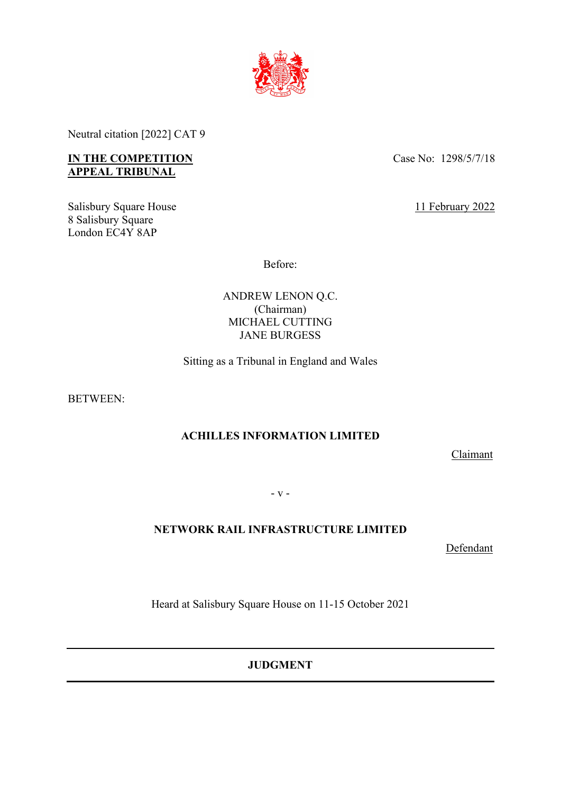

Neutral citation [2022] CAT 9

# **IN THE COMPETITION APPEAL TRIBUNAL**

Salisbury Square House 8 Salisbury Square London EC4Y 8AP

Case No: 1298/5/7/18

11 February 2022

Before:

ANDREW LENON Q.C. (Chairman) MICHAEL CUTTING JANE BURGESS

Sitting as a Tribunal in England and Wales

BETWEEN:

# **ACHILLES INFORMATION LIMITED**

Claimant

- v -

# **NETWORK RAIL INFRASTRUCTURE LIMITED**

Defendant

Heard at Salisbury Square House on 11-15 October 2021

**JUDGMENT**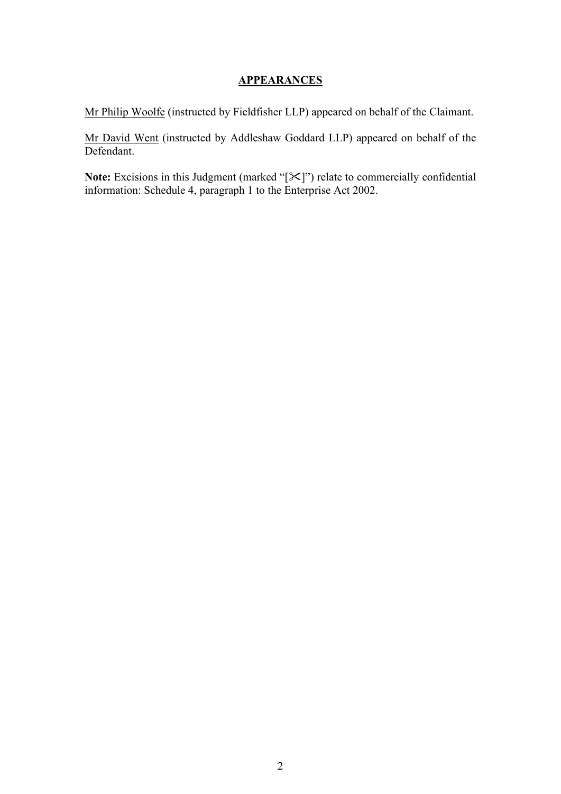# **APPEARANCES**

Mr Philip Woolfe (instructed by Fieldfisher LLP) appeared on behalf of the Claimant.

Mr David Went (instructed by Addleshaw Goddard LLP) appeared on behalf of the Defendant.

Note: Excisions in this Judgment (marked "[ $\mathbb{X}$ ]") relate to commercially confidential information: Schedule 4, paragraph 1 to the Enterprise Act 2002.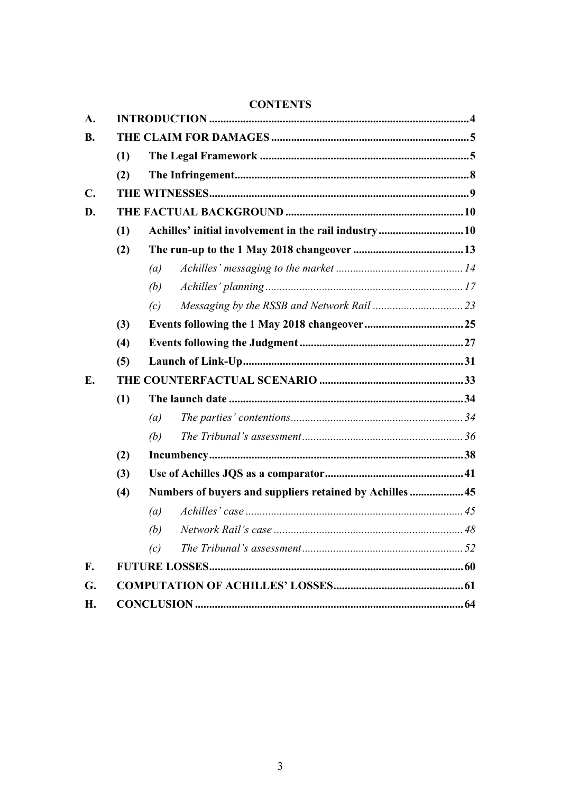| A.            |     |                                                          |  |  |  |  |  |  |
|---------------|-----|----------------------------------------------------------|--|--|--|--|--|--|
| <b>B.</b>     |     |                                                          |  |  |  |  |  |  |
|               | (1) |                                                          |  |  |  |  |  |  |
|               | (2) |                                                          |  |  |  |  |  |  |
| $C_{\bullet}$ |     |                                                          |  |  |  |  |  |  |
| D.            |     |                                                          |  |  |  |  |  |  |
|               | (1) |                                                          |  |  |  |  |  |  |
|               | (2) |                                                          |  |  |  |  |  |  |
|               |     | (a)                                                      |  |  |  |  |  |  |
|               |     | (b)                                                      |  |  |  |  |  |  |
|               |     | (c)                                                      |  |  |  |  |  |  |
|               | (3) |                                                          |  |  |  |  |  |  |
|               | (4) |                                                          |  |  |  |  |  |  |
|               | (5) |                                                          |  |  |  |  |  |  |
| E.            |     |                                                          |  |  |  |  |  |  |
|               | (1) |                                                          |  |  |  |  |  |  |
|               |     | (a)                                                      |  |  |  |  |  |  |
|               |     | (b)                                                      |  |  |  |  |  |  |
|               | (2) |                                                          |  |  |  |  |  |  |
|               | (3) |                                                          |  |  |  |  |  |  |
|               | (4) | Numbers of buyers and suppliers retained by Achilles  45 |  |  |  |  |  |  |
|               |     | (a)                                                      |  |  |  |  |  |  |
|               |     | Network Rail's case<br>(b)                               |  |  |  |  |  |  |
|               |     | (c)                                                      |  |  |  |  |  |  |
| F.            |     |                                                          |  |  |  |  |  |  |
| G.            |     |                                                          |  |  |  |  |  |  |
| Н.            |     |                                                          |  |  |  |  |  |  |

# **CONTENTS**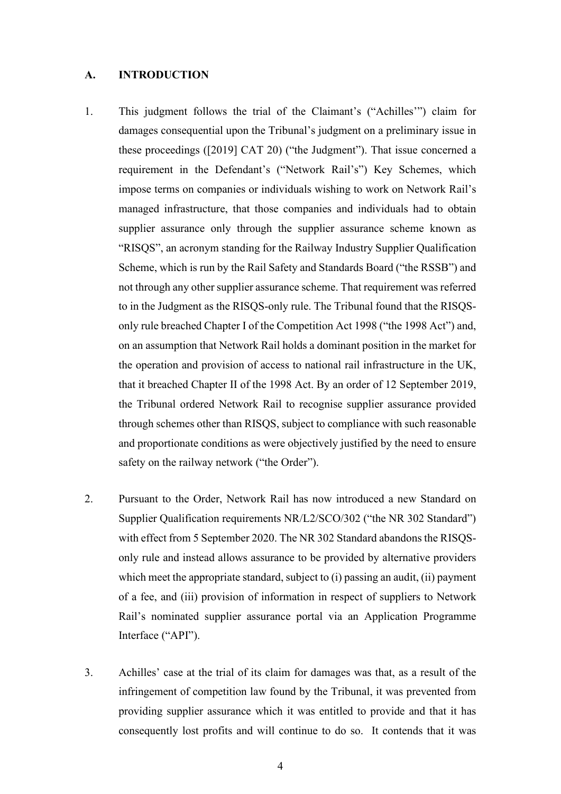#### **A. INTRODUCTION**

- 1. This judgment follows the trial of the Claimant's ("Achilles'") claim for damages consequential upon the Tribunal's judgment on a preliminary issue in these proceedings ([2019] CAT 20) ("the Judgment"). That issue concerned a requirement in the Defendant's ("Network Rail's") Key Schemes, which impose terms on companies or individuals wishing to work on Network Rail's managed infrastructure, that those companies and individuals had to obtain supplier assurance only through the supplier assurance scheme known as "RISQS", an acronym standing for the Railway Industry Supplier Qualification Scheme, which is run by the Rail Safety and Standards Board ("the RSSB") and not through any other supplier assurance scheme. That requirement was referred to in the Judgment as the RISQS-only rule. The Tribunal found that the RISQSonly rule breached Chapter I of the Competition Act 1998 ("the 1998 Act") and, on an assumption that Network Rail holds a dominant position in the market for the operation and provision of access to national rail infrastructure in the UK, that it breached Chapter II of the 1998 Act. By an order of 12 September 2019, the Tribunal ordered Network Rail to recognise supplier assurance provided through schemes other than RISQS, subject to compliance with such reasonable and proportionate conditions as were objectively justified by the need to ensure safety on the railway network ("the Order").
- 2. Pursuant to the Order, Network Rail has now introduced a new Standard on Supplier Qualification requirements NR/L2/SCO/302 ("the NR 302 Standard") with effect from 5 September 2020. The NR 302 Standard abandons the RISQSonly rule and instead allows assurance to be provided by alternative providers which meet the appropriate standard, subject to (i) passing an audit, (ii) payment of a fee, and (iii) provision of information in respect of suppliers to Network Rail's nominated supplier assurance portal via an Application Programme Interface ("API").
- 3. Achilles' case at the trial of its claim for damages was that, as a result of the infringement of competition law found by the Tribunal, it was prevented from providing supplier assurance which it was entitled to provide and that it has consequently lost profits and will continue to do so. It contends that it was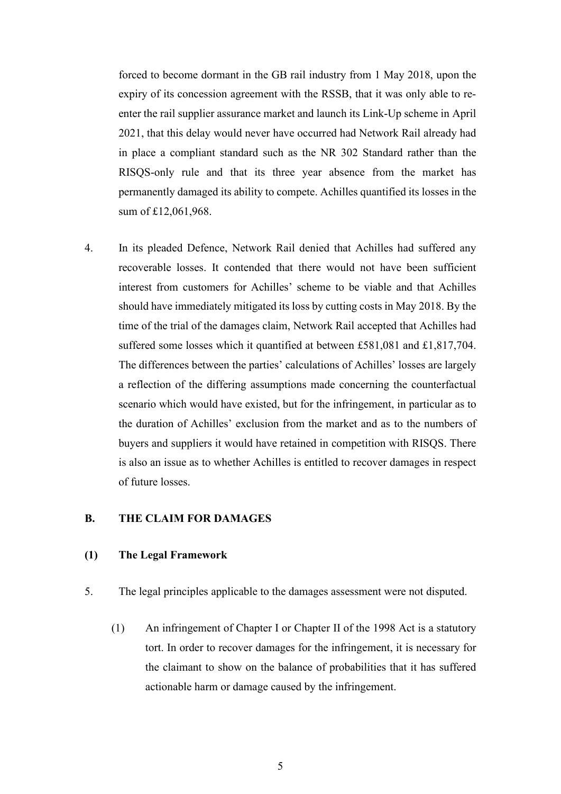forced to become dormant in the GB rail industry from 1 May 2018, upon the expiry of its concession agreement with the RSSB, that it was only able to reenter the rail supplier assurance market and launch its Link-Up scheme in April 2021, that this delay would never have occurred had Network Rail already had in place a compliant standard such as the NR 302 Standard rather than the RISQS-only rule and that its three year absence from the market has permanently damaged its ability to compete. Achilles quantified its losses in the sum of £12,061,968.

4. In its pleaded Defence, Network Rail denied that Achilles had suffered any recoverable losses. It contended that there would not have been sufficient interest from customers for Achilles' scheme to be viable and that Achilles should have immediately mitigated its loss by cutting costs in May 2018. By the time of the trial of the damages claim, Network Rail accepted that Achilles had suffered some losses which it quantified at between £581,081 and £1,817,704. The differences between the parties' calculations of Achilles' losses are largely a reflection of the differing assumptions made concerning the counterfactual scenario which would have existed, but for the infringement, in particular as to the duration of Achilles' exclusion from the market and as to the numbers of buyers and suppliers it would have retained in competition with RISQS. There is also an issue as to whether Achilles is entitled to recover damages in respect of future losses.

### **B. THE CLAIM FOR DAMAGES**

#### **(1) The Legal Framework**

- 5. The legal principles applicable to the damages assessment were not disputed.
	- (1) An infringement of Chapter I or Chapter II of the 1998 Act is a statutory tort. In order to recover damages for the infringement, it is necessary for the claimant to show on the balance of probabilities that it has suffered actionable harm or damage caused by the infringement.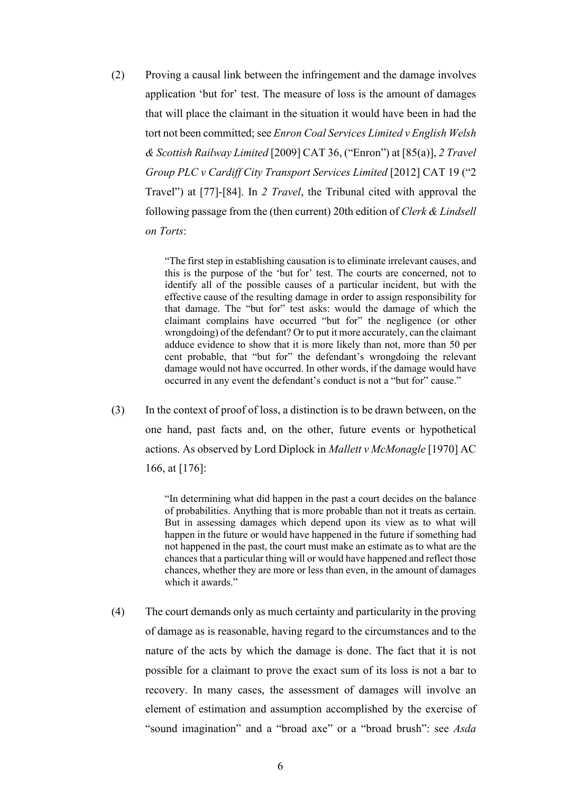(2) Proving a causal link between the infringement and the damage involves application 'but for' test. The measure of loss is the amount of damages that will place the claimant in the situation it would have been in had the tort not been committed; see *Enron Coal Services Limited v English Welsh & Scottish Railway Limited* [2009] CAT 36, ("Enron") at [85(a)], *2 Travel Group PLC v Cardiff City Transport Services Limited* [2012] CAT 19 ("2 Travel") at [77]-[84]. In *2 Travel*, the Tribunal cited with approval the following passage from the (then current) 20th edition of *Clerk & Lindsell on Torts*:

> "The first step in establishing causation is to eliminate irrelevant causes, and this is the purpose of the 'but for' test. The courts are concerned, not to identify all of the possible causes of a particular incident, but with the effective cause of the resulting damage in order to assign responsibility for that damage. The "but for" test asks: would the damage of which the claimant complains have occurred "but for" the negligence (or other wrongdoing) of the defendant? Or to put it more accurately, can the claimant adduce evidence to show that it is more likely than not, more than 50 per cent probable, that "but for" the defendant's wrongdoing the relevant damage would not have occurred. In other words, if the damage would have occurred in any event the defendant's conduct is not a "but for" cause."

(3) In the context of proof of loss, a distinction is to be drawn between, on the one hand, past facts and, on the other, future events or hypothetical actions. As observed by Lord Diplock in *Mallett v McMonagle* [1970] AC 166, at [176]:

> "In determining what did happen in the past a court decides on the balance of probabilities. Anything that is more probable than not it treats as certain. But in assessing damages which depend upon its view as to what will happen in the future or would have happened in the future if something had not happened in the past, the court must make an estimate as to what are the chances that a particular thing will or would have happened and reflect those chances, whether they are more or less than even, in the amount of damages which it awards."

(4) The court demands only as much certainty and particularity in the proving of damage as is reasonable, having regard to the circumstances and to the nature of the acts by which the damage is done. The fact that it is not possible for a claimant to prove the exact sum of its loss is not a bar to recovery. In many cases, the assessment of damages will involve an element of estimation and assumption accomplished by the exercise of "sound imagination" and a "broad axe" or a "broad brush": see *Asda*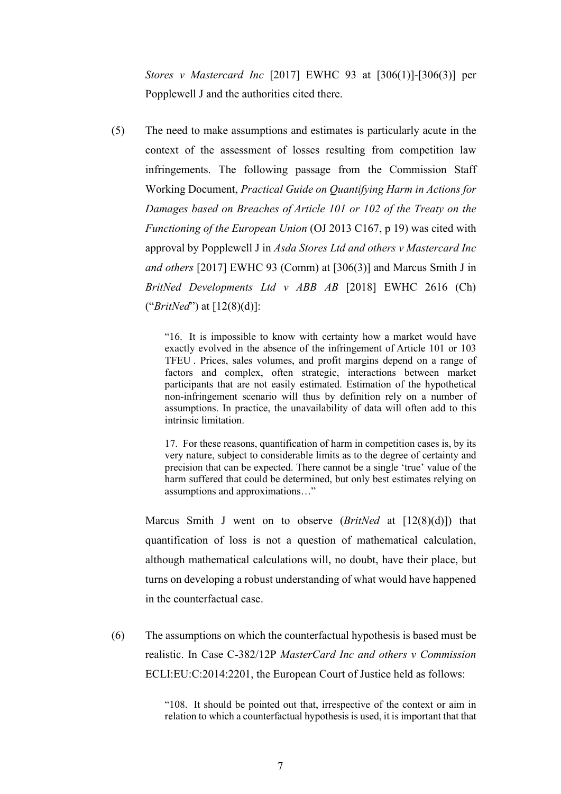*Stores v Mastercard Inc* [2017] EWHC 93 at [306(1)]-[306(3)] per Popplewell J and the authorities cited there.

(5) The need to make assumptions and estimates is particularly acute in the context of the assessment of losses resulting from competition law infringements. The following passage from the Commission Staff Working Document, *Practical Guide on Quantifying Harm in Actions for Damages based on Breaches of Article 101 or 102 of the Treaty on the Functioning of the European Union* (OJ 2013 C167, p 19) was cited with approval by Popplewell J in *Asda Stores Ltd and others v Mastercard Inc and others* [2017] EWHC 93 (Comm) at [306(3)] and Marcus Smith J in *BritNed Developments Ltd v ABB AB* [2018] EWHC 2616 (Ch) ("*BritNed*") at [12(8)(d)]:

> "16. It is impossible to know with certainty how a market would have exactly evolved in the absence of the infringement of Article 101 or 103 TFEU . Prices, sales volumes, and profit margins depend on a range of factors and complex, often strategic, interactions between market participants that are not easily estimated. Estimation of the hypothetical non-infringement scenario will thus by definition rely on a number of assumptions. In practice, the unavailability of data will often add to this intrinsic limitation.

> 17. For these reasons, quantification of harm in competition cases is, by its very nature, subject to considerable limits as to the degree of certainty and precision that can be expected. There cannot be a single 'true' value of the harm suffered that could be determined, but only best estimates relying on assumptions and approximations…"

Marcus Smith J went on to observe (*BritNed* at [12(8)(d)]) that quantification of loss is not a question of mathematical calculation, although mathematical calculations will, no doubt, have their place, but turns on developing a robust understanding of what would have happened in the counterfactual case.

(6) The assumptions on which the counterfactual hypothesis is based must be realistic. In Case C-382/12P *MasterCard Inc and others v Commission* ECLI:EU:C:2014:2201, the European Court of Justice held as follows:

> "108. It should be pointed out that, irrespective of the context or aim in relation to which a counterfactual hypothesis is used, it is important that that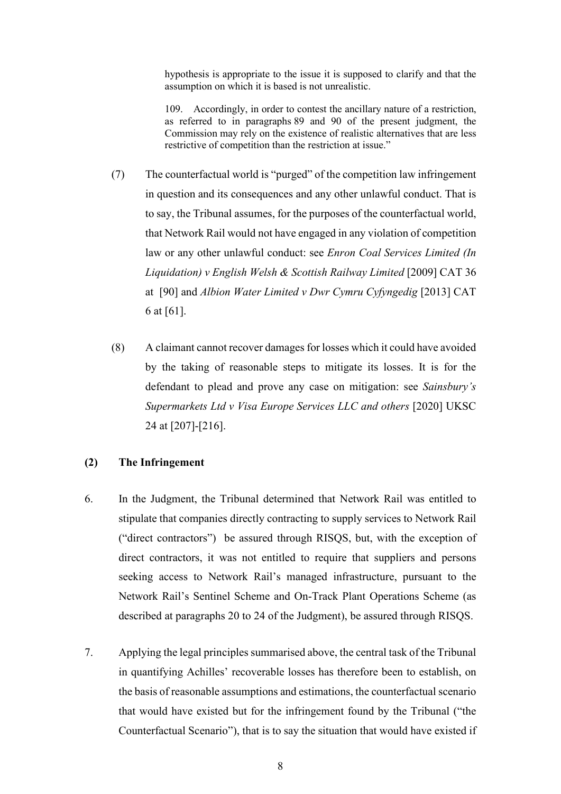hypothesis is appropriate to the issue it is supposed to clarify and that the assumption on which it is based is not unrealistic.

109. Accordingly, in order to contest the ancillary nature of a restriction, as referred to in paragraphs 89 and 90 of the present judgment, the Commission may rely on the existence of realistic alternatives that are less restrictive of competition than the restriction at issue."

- (7) The counterfactual world is "purged" of the competition law infringement in question and its consequences and any other unlawful conduct. That is to say, the Tribunal assumes, for the purposes of the counterfactual world, that Network Rail would not have engaged in any violation of competition law or any other unlawful conduct: see *Enron Coal Services Limited (In Liquidation) v English Welsh & Scottish Railway Limited* [2009] CAT 36 at [90] and *Albion Water Limited v Dwr Cymru Cyfyngedig* [2013] CAT 6 at [61].
- (8) A claimant cannot recover damages for losses which it could have avoided by the taking of reasonable steps to mitigate its losses. It is for the defendant to plead and prove any case on mitigation: see *Sainsbury's Supermarkets Ltd v Visa Europe Services LLC and others* [2020] UKSC 24 at [207]-[216].

# **(2) The Infringement**

- 6. In the Judgment, the Tribunal determined that Network Rail was entitled to stipulate that companies directly contracting to supply services to Network Rail ("direct contractors") be assured through RISQS, but, with the exception of direct contractors, it was not entitled to require that suppliers and persons seeking access to Network Rail's managed infrastructure, pursuant to the Network Rail's Sentinel Scheme and On-Track Plant Operations Scheme (as described at paragraphs 20 to 24 of the Judgment), be assured through RISQS.
- 7. Applying the legal principles summarised above, the central task of the Tribunal in quantifying Achilles' recoverable losses has therefore been to establish, on the basis of reasonable assumptions and estimations, the counterfactual scenario that would have existed but for the infringement found by the Tribunal ("the Counterfactual Scenario"), that is to say the situation that would have existed if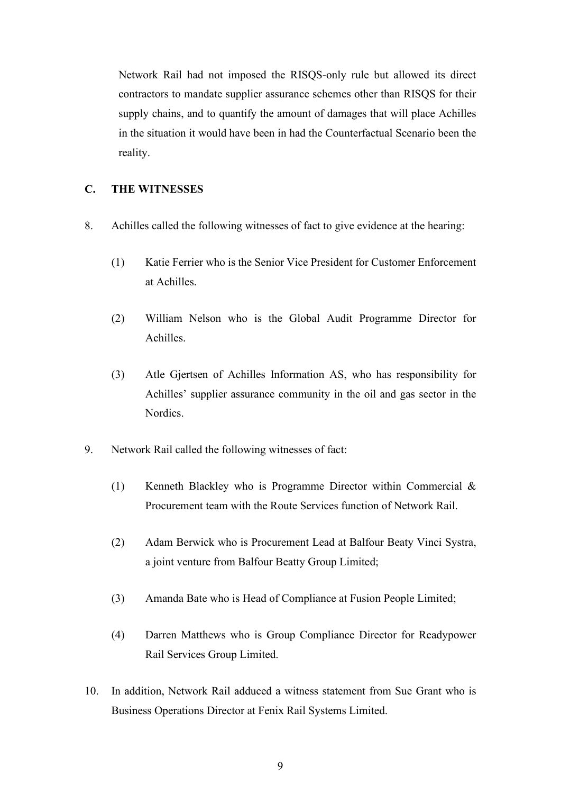Network Rail had not imposed the RISQS-only rule but allowed its direct contractors to mandate supplier assurance schemes other than RISQS for their supply chains, and to quantify the amount of damages that will place Achilles in the situation it would have been in had the Counterfactual Scenario been the reality.

### **C. THE WITNESSES**

- 8. Achilles called the following witnesses of fact to give evidence at the hearing:
	- (1) Katie Ferrier who is the Senior Vice President for Customer Enforcement at Achilles.
	- (2) William Nelson who is the Global Audit Programme Director for Achilles.
	- (3) Atle Gjertsen of Achilles Information AS, who has responsibility for Achilles' supplier assurance community in the oil and gas sector in the Nordics.
- 9. Network Rail called the following witnesses of fact:
	- (1) Kenneth Blackley who is Programme Director within Commercial & Procurement team with the Route Services function of Network Rail.
	- (2) Adam Berwick who is Procurement Lead at Balfour Beaty Vinci Systra, a joint venture from Balfour Beatty Group Limited;
	- (3) Amanda Bate who is Head of Compliance at Fusion People Limited;
	- (4) Darren Matthews who is Group Compliance Director for Readypower Rail Services Group Limited.
- 10. In addition, Network Rail adduced a witness statement from Sue Grant who is Business Operations Director at Fenix Rail Systems Limited.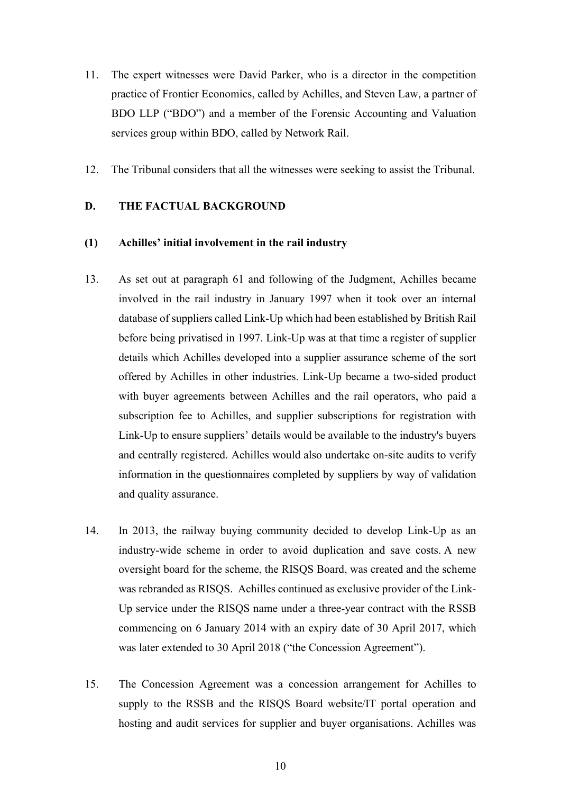- 11. The expert witnesses were David Parker, who is a director in the competition practice of Frontier Economics, called by Achilles, and Steven Law, a partner of BDO LLP ("BDO") and a member of the Forensic Accounting and Valuation services group within BDO, called by Network Rail.
- 12. The Tribunal considers that all the witnesses were seeking to assist the Tribunal.

# **D. THE FACTUAL BACKGROUND**

### **(1) Achilles' initial involvement in the rail industry**

- 13. As set out at paragraph 61 and following of the Judgment, Achilles became involved in the rail industry in January 1997 when it took over an internal database of suppliers called Link-Up which had been established by British Rail before being privatised in 1997. Link-Up was at that time a register of supplier details which Achilles developed into a supplier assurance scheme of the sort offered by Achilles in other industries. Link-Up became a two-sided product with buyer agreements between Achilles and the rail operators, who paid a subscription fee to Achilles, and supplier subscriptions for registration with Link-Up to ensure suppliers' details would be available to the industry's buyers and centrally registered. Achilles would also undertake on-site audits to verify information in the questionnaires completed by suppliers by way of validation and quality assurance.
- 14. In 2013, the railway buying community decided to develop Link-Up as an industry-wide scheme in order to avoid duplication and save costs. A new oversight board for the scheme, the RISQS Board, was created and the scheme was rebranded as RISQS. Achilles continued as exclusive provider of the Link-Up service under the RISQS name under a three-year contract with the RSSB commencing on 6 January 2014 with an expiry date of 30 April 2017, which was later extended to 30 April 2018 ("the Concession Agreement").
- 15. The Concession Agreement was a concession arrangement for Achilles to supply to the RSSB and the RISQS Board website/IT portal operation and hosting and audit services for supplier and buyer organisations. Achilles was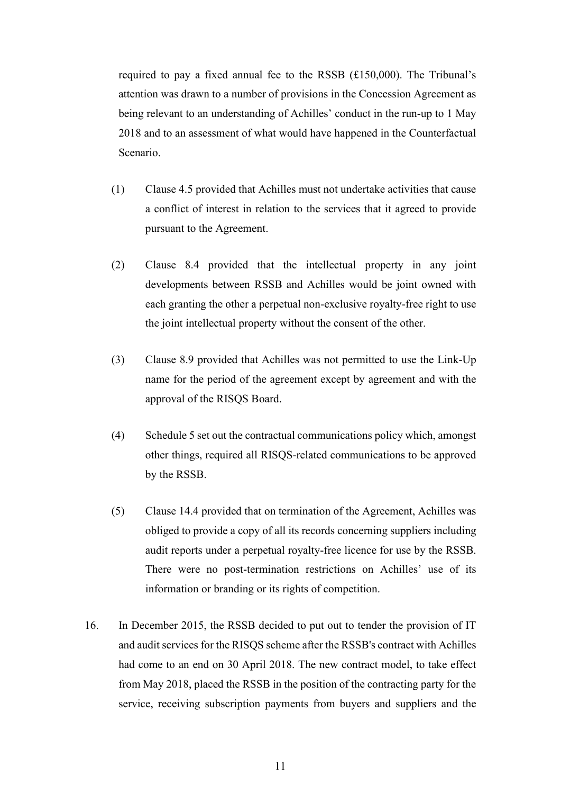required to pay a fixed annual fee to the RSSB (£150,000). The Tribunal's attention was drawn to a number of provisions in the Concession Agreement as being relevant to an understanding of Achilles' conduct in the run-up to 1 May 2018 and to an assessment of what would have happened in the Counterfactual Scenario.

- (1) Clause 4.5 provided that Achilles must not undertake activities that cause a conflict of interest in relation to the services that it agreed to provide pursuant to the Agreement.
- (2) Clause 8.4 provided that the intellectual property in any joint developments between RSSB and Achilles would be joint owned with each granting the other a perpetual non-exclusive royalty-free right to use the joint intellectual property without the consent of the other.
- (3) Clause 8.9 provided that Achilles was not permitted to use the Link-Up name for the period of the agreement except by agreement and with the approval of the RISQS Board.
- (4) Schedule 5 set out the contractual communications policy which, amongst other things, required all RISQS-related communications to be approved by the RSSB.
- (5) Clause 14.4 provided that on termination of the Agreement, Achilles was obliged to provide a copy of all its records concerning suppliers including audit reports under a perpetual royalty-free licence for use by the RSSB. There were no post-termination restrictions on Achilles' use of its information or branding or its rights of competition.
- 16. In December 2015, the RSSB decided to put out to tender the provision of IT and audit services for the RISQS scheme after the RSSB's contract with Achilles had come to an end on 30 April 2018. The new contract model, to take effect from May 2018, placed the RSSB in the position of the contracting party for the service, receiving subscription payments from buyers and suppliers and the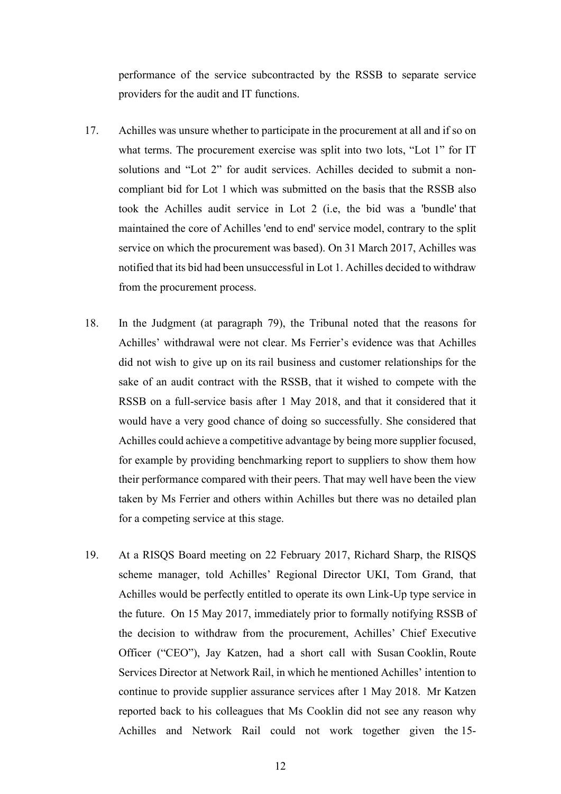performance of the service subcontracted by the RSSB to separate service providers for the audit and IT functions.

- 17. Achilles was unsure whether to participate in the procurement at all and if so on what terms. The procurement exercise was split into two lots, "Lot 1" for IT solutions and "Lot 2" for audit services. Achilles decided to submit a noncompliant bid for Lot 1 which was submitted on the basis that the RSSB also took the Achilles audit service in Lot 2 (i.e, the bid was a 'bundle' that maintained the core of Achilles 'end to end' service model, contrary to the split service on which the procurement was based). On 31 March 2017, Achilles was notified that its bid had been unsuccessful in Lot 1. Achilles decided to withdraw from the procurement process.
- 18. In the Judgment (at paragraph 79), the Tribunal noted that the reasons for Achilles' withdrawal were not clear. Ms Ferrier's evidence was that Achilles did not wish to give up on its rail business and customer relationships for the sake of an audit contract with the RSSB, that it wished to compete with the RSSB on a full-service basis after 1 May 2018, and that it considered that it would have a very good chance of doing so successfully. She considered that Achilles could achieve a competitive advantage by being more supplier focused, for example by providing benchmarking report to suppliers to show them how their performance compared with their peers. That may well have been the view taken by Ms Ferrier and others within Achilles but there was no detailed plan for a competing service at this stage.
- 19. At a RISQS Board meeting on 22 February 2017, Richard Sharp, the RISQS scheme manager, told Achilles' Regional Director UKI, Tom Grand, that Achilles would be perfectly entitled to operate its own Link-Up type service in the future. On 15 May 2017, immediately prior to formally notifying RSSB of the decision to withdraw from the procurement, Achilles' Chief Executive Officer ("CEO"), Jay Katzen, had a short call with Susan Cooklin, Route Services Director at Network Rail, in which he mentioned Achilles' intention to continue to provide supplier assurance services after 1 May 2018. Mr Katzen reported back to his colleagues that Ms Cooklin did not see any reason why Achilles and Network Rail could not work together given the 15-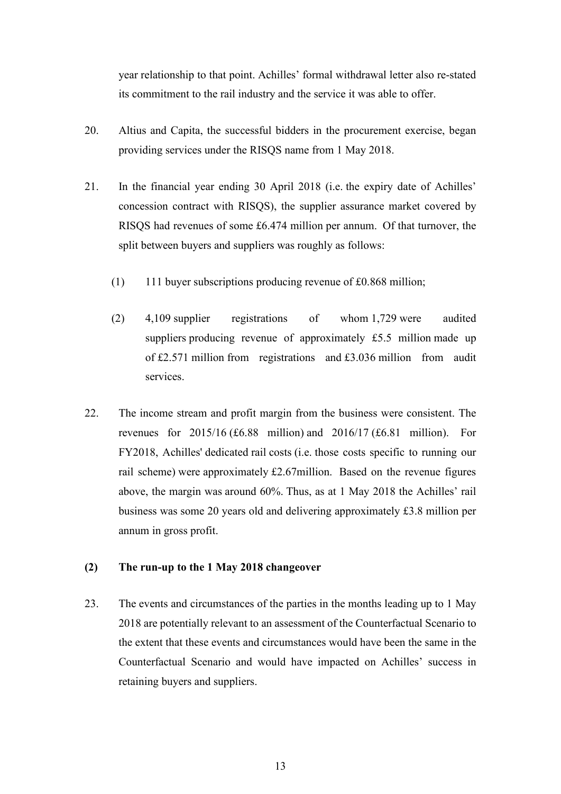year relationship to that point. Achilles' formal withdrawal letter also re-stated its commitment to the rail industry and the service it was able to offer.

- 20. Altius and Capita, the successful bidders in the procurement exercise, began providing services under the RISQS name from 1 May 2018.
- 21. In the financial year ending 30 April 2018 (i.e. the expiry date of Achilles' concession contract with RISQS), the supplier assurance market covered by RISQS had revenues of some £6.474 million per annum. Of that turnover, the split between buyers and suppliers was roughly as follows:
	- (1) 111 buyer subscriptions producing revenue of £0.868 million;
	- (2) 4,109 supplier registrations of whom 1,729 were audited suppliers producing revenue of approximately £5.5 million made up of £2.571 million from registrations and £3.036 million from audit services.
- 22. The income stream and profit margin from the business were consistent. The revenues for 2015/16 (£6.88 million) and 2016/17 (£6.81 million). For FY2018, Achilles' dedicated rail costs (i.e. those costs specific to running our rail scheme) were approximately £2.67million. Based on the revenue figures above, the margin was around 60%. Thus, as at 1 May 2018 the Achilles' rail business was some 20 years old and delivering approximately £3.8 million per annum in gross profit.

# **(2) The run-up to the 1 May 2018 changeover**

23. The events and circumstances of the parties in the months leading up to 1 May 2018 are potentially relevant to an assessment of the Counterfactual Scenario to the extent that these events and circumstances would have been the same in the Counterfactual Scenario and would have impacted on Achilles' success in retaining buyers and suppliers.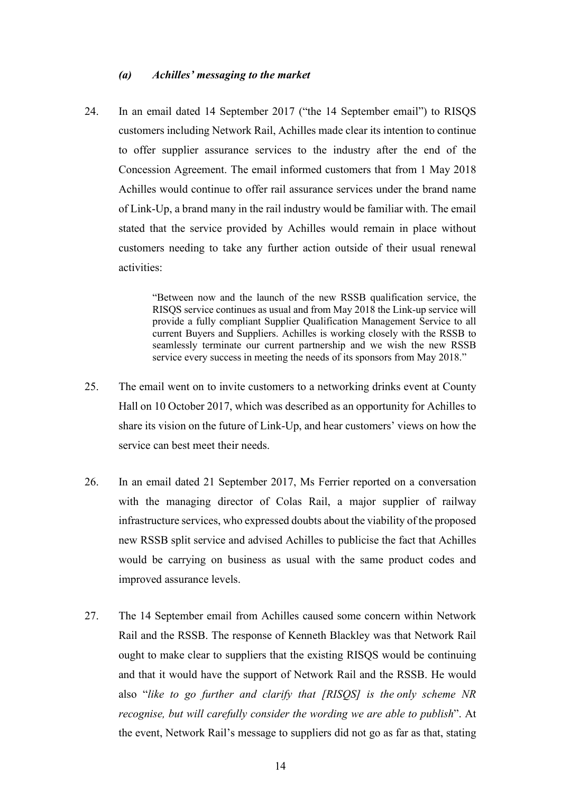#### *(a) Achilles' messaging to the market*

24. In an email dated 14 September 2017 ("the 14 September email") to RISQS customers including Network Rail, Achilles made clear its intention to continue to offer supplier assurance services to the industry after the end of the Concession Agreement. The email informed customers that from 1 May 2018 Achilles would continue to offer rail assurance services under the brand name of Link-Up, a brand many in the rail industry would be familiar with. The email stated that the service provided by Achilles would remain in place without customers needing to take any further action outside of their usual renewal activities:

> "Between now and the launch of the new RSSB qualification service, the RISQS service continues as usual and from May 2018 the Link-up service will provide a fully compliant Supplier Qualification Management Service to all current Buyers and Suppliers. Achilles is working closely with the RSSB to seamlessly terminate our current partnership and we wish the new RSSB service every success in meeting the needs of its sponsors from May 2018."

- 25. The email went on to invite customers to a networking drinks event at County Hall on 10 October 2017, which was described as an opportunity for Achilles to share its vision on the future of Link-Up, and hear customers' views on how the service can best meet their needs.
- 26. In an email dated 21 September 2017, Ms Ferrier reported on a conversation with the managing director of Colas Rail, a major supplier of railway infrastructure services, who expressed doubts about the viability of the proposed new RSSB split service and advised Achilles to publicise the fact that Achilles would be carrying on business as usual with the same product codes and improved assurance levels.
- 27. The 14 September email from Achilles caused some concern within Network Rail and the RSSB. The response of Kenneth Blackley was that Network Rail ought to make clear to suppliers that the existing RISQS would be continuing and that it would have the support of Network Rail and the RSSB. He would also "*like to go further and clarify that [RISQS] is the only scheme NR recognise, but will carefully consider the wording we are able to publish*". At the event, Network Rail's message to suppliers did not go as far as that, stating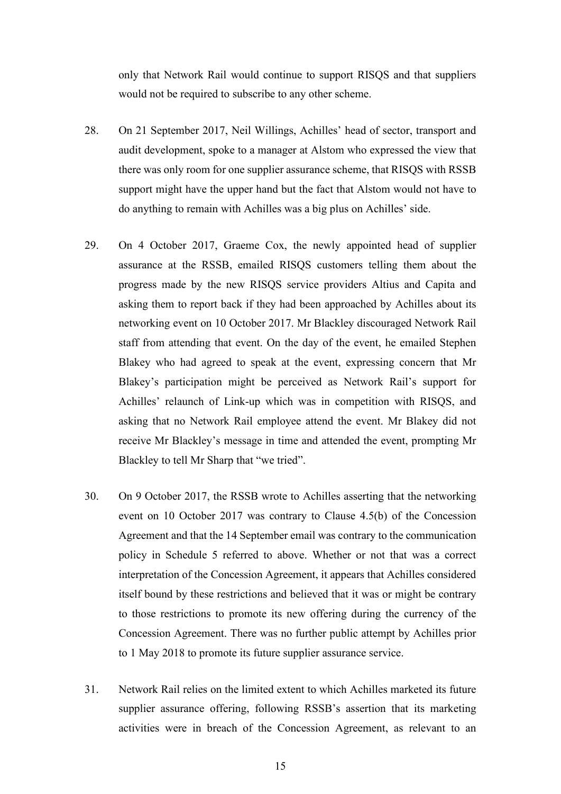only that Network Rail would continue to support RISQS and that suppliers would not be required to subscribe to any other scheme.

- 28. On 21 September 2017, Neil Willings, Achilles' head of sector, transport and audit development, spoke to a manager at Alstom who expressed the view that there was only room for one supplier assurance scheme, that RISQS with RSSB support might have the upper hand but the fact that Alstom would not have to do anything to remain with Achilles was a big plus on Achilles' side.
- 29. On 4 October 2017, Graeme Cox, the newly appointed head of supplier assurance at the RSSB, emailed RISQS customers telling them about the progress made by the new RISQS service providers Altius and Capita and asking them to report back if they had been approached by Achilles about its networking event on 10 October 2017. Mr Blackley discouraged Network Rail staff from attending that event. On the day of the event, he emailed Stephen Blakey who had agreed to speak at the event, expressing concern that Mr Blakey's participation might be perceived as Network Rail's support for Achilles' relaunch of Link-up which was in competition with RISQS, and asking that no Network Rail employee attend the event. Mr Blakey did not receive Mr Blackley's message in time and attended the event, prompting Mr Blackley to tell Mr Sharp that "we tried".
- 30. On 9 October 2017, the RSSB wrote to Achilles asserting that the networking event on 10 October 2017 was contrary to Clause 4.5(b) of the Concession Agreement and that the 14 September email was contrary to the communication policy in Schedule 5 referred to above. Whether or not that was a correct interpretation of the Concession Agreement, it appears that Achilles considered itself bound by these restrictions and believed that it was or might be contrary to those restrictions to promote its new offering during the currency of the Concession Agreement. There was no further public attempt by Achilles prior to 1 May 2018 to promote its future supplier assurance service.
- 31. Network Rail relies on the limited extent to which Achilles marketed its future supplier assurance offering, following RSSB's assertion that its marketing activities were in breach of the Concession Agreement, as relevant to an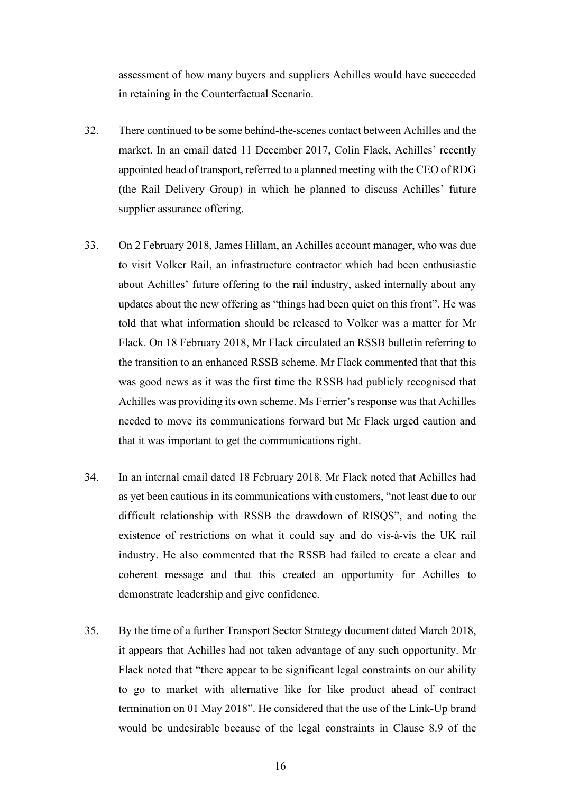assessment of how many buyers and suppliers Achilles would have succeeded in retaining in the Counterfactual Scenario.

- 32. There continued to be some behind-the-scenes contact between Achilles and the market. In an email dated 11 December 2017, Colin Flack, Achilles' recently appointed head of transport, referred to a planned meeting with the CEO of RDG (the Rail Delivery Group) in which he planned to discuss Achilles' future supplier assurance offering.
- 33. On 2 February 2018, James Hillam, an Achilles account manager, who was due to visit Volker Rail, an infrastructure contractor which had been enthusiastic about Achilles' future offering to the rail industry, asked internally about any updates about the new offering as "things had been quiet on this front". He was told that what information should be released to Volker was a matter for Mr Flack. On 18 February 2018, Mr Flack circulated an RSSB bulletin referring to the transition to an enhanced RSSB scheme. Mr Flack commented that that this was good news as it was the first time the RSSB had publicly recognised that Achilles was providing its own scheme. Ms Ferrier's response was that Achilles needed to move its communications forward but Mr Flack urged caution and that it was important to get the communications right.
- 34. In an internal email dated 18 February 2018, Mr Flack noted that Achilles had as yet been cautious in its communications with customers, "not least due to our difficult relationship with RSSB the drawdown of RISQS", and noting the existence of restrictions on what it could say and do vis-à-vis the UK rail industry. He also commented that the RSSB had failed to create a clear and coherent message and that this created an opportunity for Achilles to demonstrate leadership and give confidence.
- 35. By the time of a further Transport Sector Strategy document dated March 2018, it appears that Achilles had not taken advantage of any such opportunity. Mr Flack noted that "there appear to be significant legal constraints on our ability to go to market with alternative like for like product ahead of contract termination on 01 May 2018". He considered that the use of the Link-Up brand would be undesirable because of the legal constraints in Clause 8.9 of the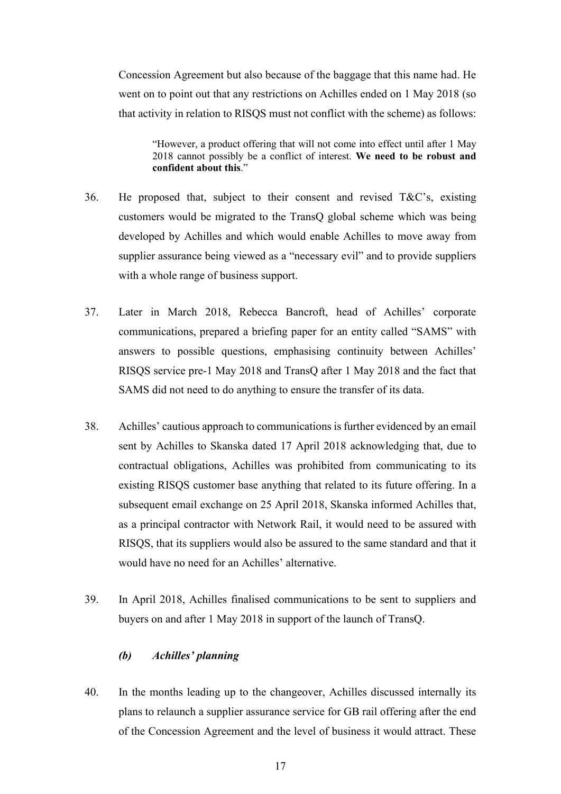Concession Agreement but also because of the baggage that this name had. He went on to point out that any restrictions on Achilles ended on 1 May 2018 (so that activity in relation to RISQS must not conflict with the scheme) as follows:

"However, a product offering that will not come into effect until after 1 May 2018 cannot possibly be a conflict of interest. **We need to be robust and confident about this**."

- 36. He proposed that, subject to their consent and revised T&C's, existing customers would be migrated to the TransQ global scheme which was being developed by Achilles and which would enable Achilles to move away from supplier assurance being viewed as a "necessary evil" and to provide suppliers with a whole range of business support.
- 37. Later in March 2018, Rebecca Bancroft, head of Achilles' corporate communications, prepared a briefing paper for an entity called "SAMS" with answers to possible questions, emphasising continuity between Achilles' RISQS service pre-1 May 2018 and TransQ after 1 May 2018 and the fact that SAMS did not need to do anything to ensure the transfer of its data.
- 38. Achilles' cautious approach to communications is further evidenced by an email sent by Achilles to Skanska dated 17 April 2018 acknowledging that, due to contractual obligations, Achilles was prohibited from communicating to its existing RISQS customer base anything that related to its future offering. In a subsequent email exchange on 25 April 2018, Skanska informed Achilles that, as a principal contractor with Network Rail, it would need to be assured with RISQS, that its suppliers would also be assured to the same standard and that it would have no need for an Achilles' alternative.
- 39. In April 2018, Achilles finalised communications to be sent to suppliers and buyers on and after 1 May 2018 in support of the launch of TransQ.

### *(b) Achilles' planning*

40. In the months leading up to the changeover, Achilles discussed internally its plans to relaunch a supplier assurance service for GB rail offering after the end of the Concession Agreement and the level of business it would attract. These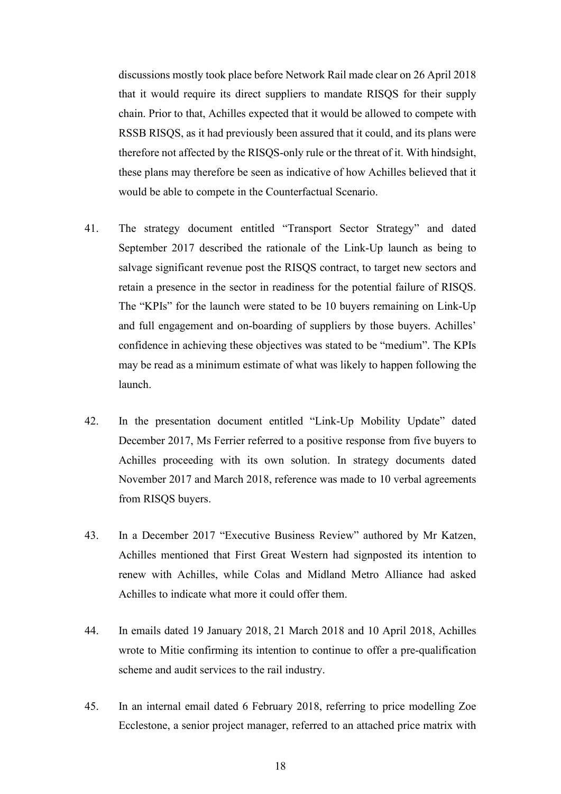discussions mostly took place before Network Rail made clear on 26 April 2018 that it would require its direct suppliers to mandate RISQS for their supply chain. Prior to that, Achilles expected that it would be allowed to compete with RSSB RISQS, as it had previously been assured that it could, and its plans were therefore not affected by the RISQS-only rule or the threat of it. With hindsight, these plans may therefore be seen as indicative of how Achilles believed that it would be able to compete in the Counterfactual Scenario.

- 41. The strategy document entitled "Transport Sector Strategy" and dated September 2017 described the rationale of the Link-Up launch as being to salvage significant revenue post the RISQS contract, to target new sectors and retain a presence in the sector in readiness for the potential failure of RISQS. The "KPIs" for the launch were stated to be 10 buyers remaining on Link-Up and full engagement and on-boarding of suppliers by those buyers. Achilles' confidence in achieving these objectives was stated to be "medium". The KPIs may be read as a minimum estimate of what was likely to happen following the launch.
- 42. In the presentation document entitled "Link-Up Mobility Update" dated December 2017, Ms Ferrier referred to a positive response from five buyers to Achilles proceeding with its own solution. In strategy documents dated November 2017 and March 2018, reference was made to 10 verbal agreements from RISQS buyers.
- 43. In a December 2017 "Executive Business Review" authored by Mr Katzen, Achilles mentioned that First Great Western had signposted its intention to renew with Achilles, while Colas and Midland Metro Alliance had asked Achilles to indicate what more it could offer them.
- 44. In emails dated 19 January 2018, 21 March 2018 and 10 April 2018, Achilles wrote to Mitie confirming its intention to continue to offer a pre-qualification scheme and audit services to the rail industry.
- 45. In an internal email dated 6 February 2018, referring to price modelling Zoe Ecclestone, a senior project manager, referred to an attached price matrix with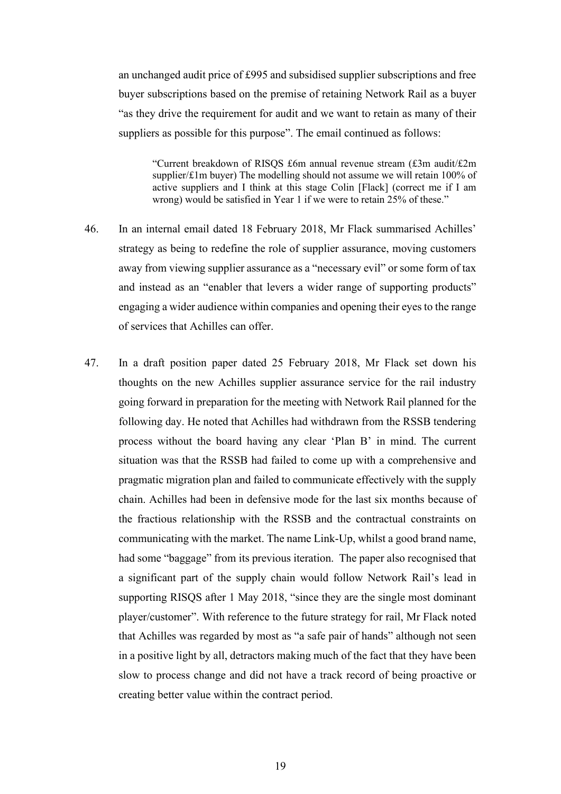an unchanged audit price of £995 and subsidised supplier subscriptions and free buyer subscriptions based on the premise of retaining Network Rail as a buyer "as they drive the requirement for audit and we want to retain as many of their suppliers as possible for this purpose". The email continued as follows:

"Current breakdown of RISQS £6m annual revenue stream (£3m audit/£2m supplier/£1m buyer) The modelling should not assume we will retain 100% of active suppliers and I think at this stage Colin [Flack] (correct me if I am wrong) would be satisfied in Year 1 if we were to retain 25% of these."

- 46. In an internal email dated 18 February 2018, Mr Flack summarised Achilles' strategy as being to redefine the role of supplier assurance, moving customers away from viewing supplier assurance as a "necessary evil" or some form of tax and instead as an "enabler that levers a wider range of supporting products" engaging a wider audience within companies and opening their eyes to the range of services that Achilles can offer.
- 47. In a draft position paper dated 25 February 2018, Mr Flack set down his thoughts on the new Achilles supplier assurance service for the rail industry going forward in preparation for the meeting with Network Rail planned for the following day. He noted that Achilles had withdrawn from the RSSB tendering process without the board having any clear 'Plan B' in mind. The current situation was that the RSSB had failed to come up with a comprehensive and pragmatic migration plan and failed to communicate effectively with the supply chain. Achilles had been in defensive mode for the last six months because of the fractious relationship with the RSSB and the contractual constraints on communicating with the market. The name Link-Up, whilst a good brand name, had some "baggage" from its previous iteration. The paper also recognised that a significant part of the supply chain would follow Network Rail's lead in supporting RISQS after 1 May 2018, "since they are the single most dominant player/customer". With reference to the future strategy for rail, Mr Flack noted that Achilles was regarded by most as "a safe pair of hands" although not seen in a positive light by all, detractors making much of the fact that they have been slow to process change and did not have a track record of being proactive or creating better value within the contract period.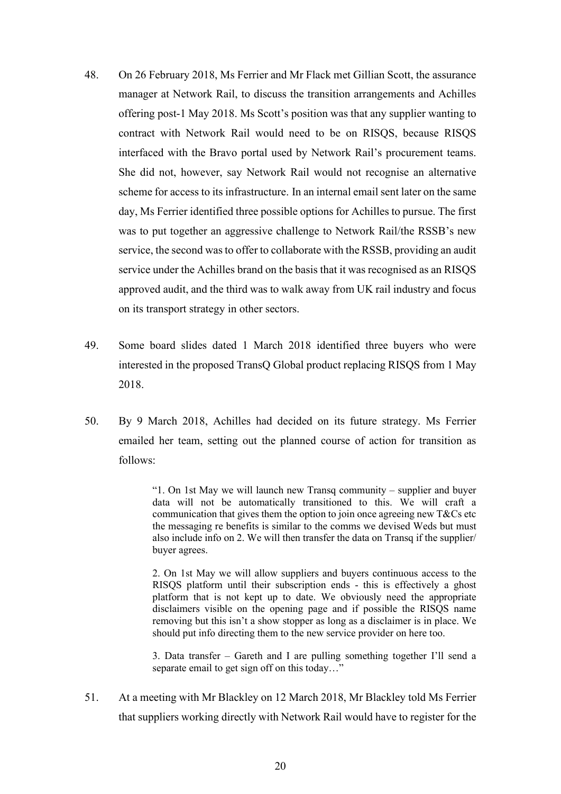- 48. On 26 February 2018, Ms Ferrier and Mr Flack met Gillian Scott, the assurance manager at Network Rail, to discuss the transition arrangements and Achilles offering post-1 May 2018. Ms Scott's position was that any supplier wanting to contract with Network Rail would need to be on RISQS, because RISQS interfaced with the Bravo portal used by Network Rail's procurement teams. She did not, however, say Network Rail would not recognise an alternative scheme for access to its infrastructure. In an internal email sent later on the same day, Ms Ferrier identified three possible options for Achilles to pursue. The first was to put together an aggressive challenge to Network Rail/the RSSB's new service, the second was to offer to collaborate with the RSSB, providing an audit service under the Achilles brand on the basis that it was recognised as an RISQS approved audit, and the third was to walk away from UK rail industry and focus on its transport strategy in other sectors.
- 49. Some board slides dated 1 March 2018 identified three buyers who were interested in the proposed TransQ Global product replacing RISQS from 1 May 2018.
- 50. By 9 March 2018, Achilles had decided on its future strategy. Ms Ferrier emailed her team, setting out the planned course of action for transition as follows:

"1. On 1st May we will launch new Transq community – supplier and buyer data will not be automatically transitioned to this. We will craft a communication that gives them the option to join once agreeing new T&Cs etc the messaging re benefits is similar to the comms we devised Weds but must also include info on 2. We will then transfer the data on Transq if the supplier/ buyer agrees.

2. On 1st May we will allow suppliers and buyers continuous access to the RISQS platform until their subscription ends - this is effectively a ghost platform that is not kept up to date. We obviously need the appropriate disclaimers visible on the opening page and if possible the RISQS name removing but this isn't a show stopper as long as a disclaimer is in place. We should put info directing them to the new service provider on here too.

3. Data transfer – Gareth and I are pulling something together I'll send a separate email to get sign off on this today…"

51. At a meeting with Mr Blackley on 12 March 2018, Mr Blackley told Ms Ferrier that suppliers working directly with Network Rail would have to register for the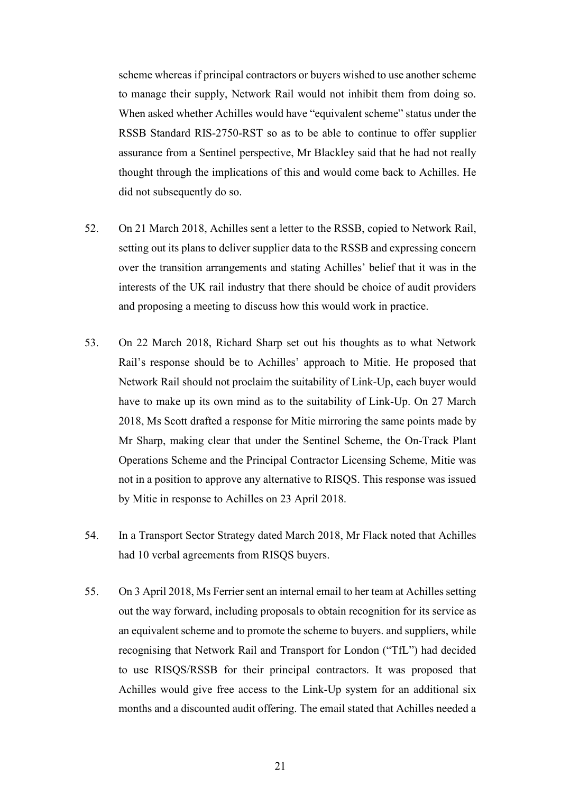scheme whereas if principal contractors or buyers wished to use another scheme to manage their supply, Network Rail would not inhibit them from doing so. When asked whether Achilles would have "equivalent scheme" status under the RSSB Standard RIS-2750-RST so as to be able to continue to offer supplier assurance from a Sentinel perspective, Mr Blackley said that he had not really thought through the implications of this and would come back to Achilles. He did not subsequently do so.

- 52. On 21 March 2018, Achilles sent a letter to the RSSB, copied to Network Rail, setting out its plans to deliver supplier data to the RSSB and expressing concern over the transition arrangements and stating Achilles' belief that it was in the interests of the UK rail industry that there should be choice of audit providers and proposing a meeting to discuss how this would work in practice.
- 53. On 22 March 2018, Richard Sharp set out his thoughts as to what Network Rail's response should be to Achilles' approach to Mitie. He proposed that Network Rail should not proclaim the suitability of Link-Up, each buyer would have to make up its own mind as to the suitability of Link-Up. On 27 March 2018, Ms Scott drafted a response for Mitie mirroring the same points made by Mr Sharp, making clear that under the Sentinel Scheme, the On-Track Plant Operations Scheme and the Principal Contractor Licensing Scheme, Mitie was not in a position to approve any alternative to RISQS. This response was issued by Mitie in response to Achilles on 23 April 2018.
- 54. In a Transport Sector Strategy dated March 2018, Mr Flack noted that Achilles had 10 verbal agreements from RISQS buyers.
- 55. On 3 April 2018, Ms Ferrier sent an internal email to her team at Achilles setting out the way forward, including proposals to obtain recognition for its service as an equivalent scheme and to promote the scheme to buyers. and suppliers, while recognising that Network Rail and Transport for London ("TfL") had decided to use RISQS/RSSB for their principal contractors. It was proposed that Achilles would give free access to the Link-Up system for an additional six months and a discounted audit offering. The email stated that Achilles needed a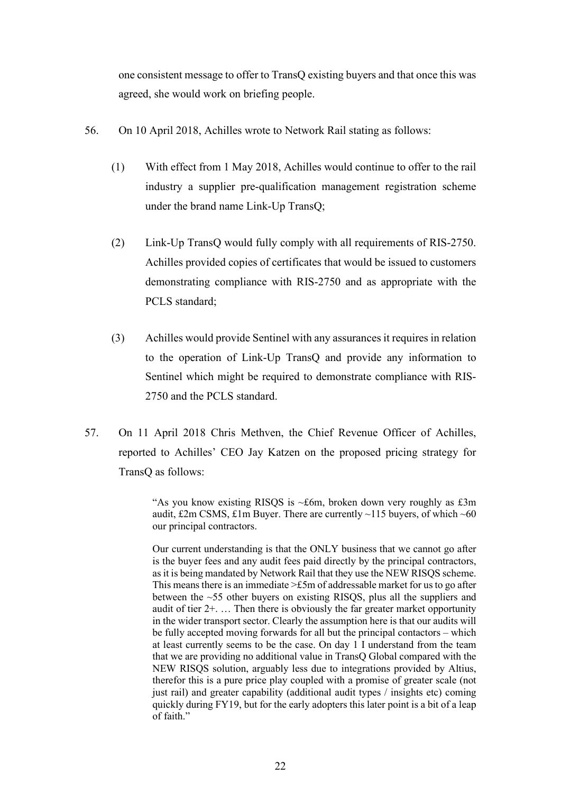one consistent message to offer to TransQ existing buyers and that once this was agreed, she would work on briefing people.

- 56. On 10 April 2018, Achilles wrote to Network Rail stating as follows:
	- (1) With effect from 1 May 2018, Achilles would continue to offer to the rail industry a supplier pre-qualification management registration scheme under the brand name Link-Up TransQ;
	- (2) Link-Up TransQ would fully comply with all requirements of RIS-2750. Achilles provided copies of certificates that would be issued to customers demonstrating compliance with RIS-2750 and as appropriate with the PCLS standard;
	- (3) Achilles would provide Sentinel with any assurances it requires in relation to the operation of Link-Up TransQ and provide any information to Sentinel which might be required to demonstrate compliance with RIS-2750 and the PCLS standard.
- 57. On 11 April 2018 Chris Methven, the Chief Revenue Officer of Achilles, reported to Achilles' CEO Jay Katzen on the proposed pricing strategy for TransQ as follows:

"As you know existing RISOS is  $\sim$ £6m, broken down very roughly as £3m audit, £2m CSMS, £1m Buyer. There are currently  $\sim$ 115 buyers, of which  $\sim$ 60 our principal contractors.

Our current understanding is that the ONLY business that we cannot go after is the buyer fees and any audit fees paid directly by the principal contractors, as it is being mandated by Network Rail that they use the NEW RISQS scheme. This means there is an immediate >£5m of addressable market for us to go after between the ~55 other buyers on existing RISQS, plus all the suppliers and audit of tier 2+. … Then there is obviously the far greater market opportunity in the wider transport sector. Clearly the assumption here is that our audits will be fully accepted moving forwards for all but the principal contactors – which at least currently seems to be the case. On day 1 I understand from the team that we are providing no additional value in TransQ Global compared with the NEW RISQS solution, arguably less due to integrations provided by Altius, therefor this is a pure price play coupled with a promise of greater scale (not just rail) and greater capability (additional audit types / insights etc) coming quickly during FY19, but for the early adopters this later point is a bit of a leap of faith."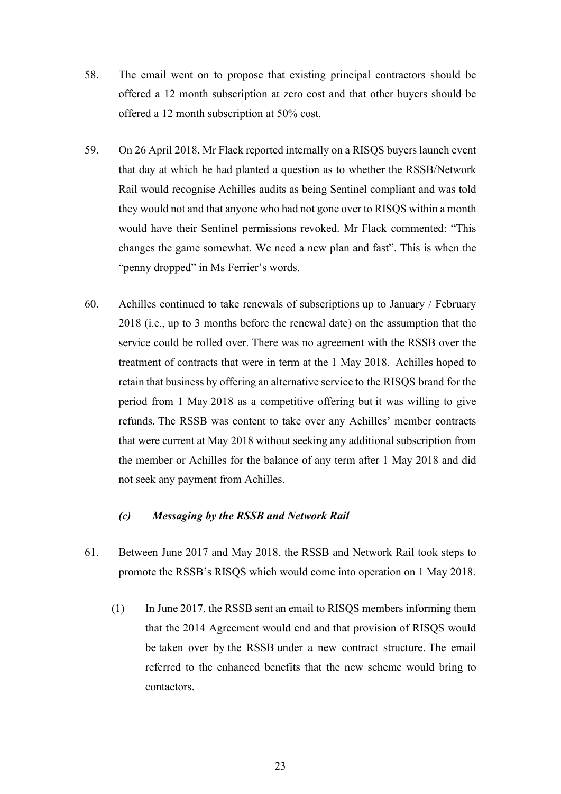- 58. The email went on to propose that existing principal contractors should be offered a 12 month subscription at zero cost and that other buyers should be offered a 12 month subscription at 50% cost.
- 59. On 26 April 2018, Mr Flack reported internally on a RISQS buyers launch event that day at which he had planted a question as to whether the RSSB/Network Rail would recognise Achilles audits as being Sentinel compliant and was told they would not and that anyone who had not gone over to RISQS within a month would have their Sentinel permissions revoked. Mr Flack commented: "This changes the game somewhat. We need a new plan and fast". This is when the "penny dropped" in Ms Ferrier's words.
- 60. Achilles continued to take renewals of subscriptions up to January / February 2018 (i.e., up to 3 months before the renewal date) on the assumption that the service could be rolled over. There was no agreement with the RSSB over the treatment of contracts that were in term at the 1 May 2018. Achilles hoped to retain that business by offering an alternative service to the RISQS brand for the period from 1 May 2018 as a competitive offering but it was willing to give refunds. The RSSB was content to take over any Achilles' member contracts that were current at May 2018 without seeking any additional subscription from the member or Achilles for the balance of any term after 1 May 2018 and did not seek any payment from Achilles.

# *(c) Messaging by the RSSB and Network Rail*

- 61. Between June 2017 and May 2018, the RSSB and Network Rail took steps to promote the RSSB's RISQS which would come into operation on 1 May 2018.
	- (1) In June 2017, the RSSB sent an email to RISQS members informing them that the 2014 Agreement would end and that provision of RISQS would be taken over by the RSSB under a new contract structure. The email referred to the enhanced benefits that the new scheme would bring to contactors.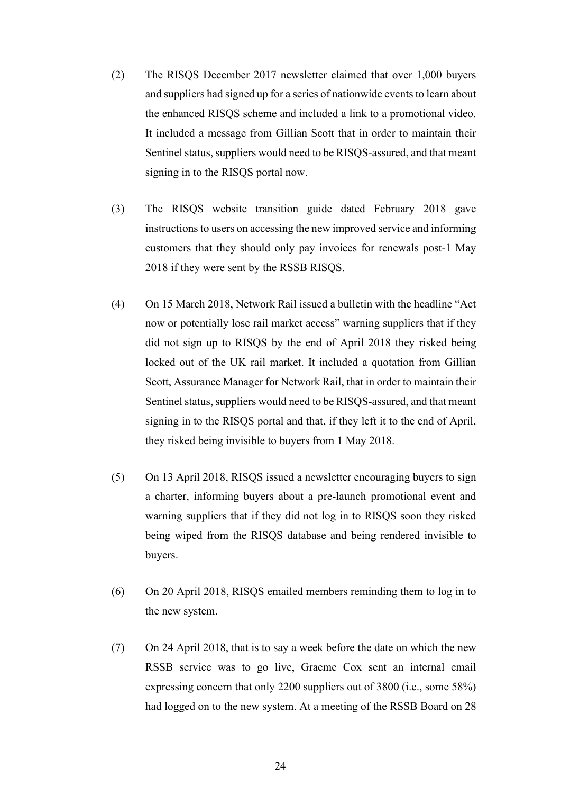- (2) The RISQS December 2017 newsletter claimed that over 1,000 buyers and suppliers had signed up for a series of nationwide events to learn about the enhanced RISQS scheme and included a link to a promotional video. It included a message from Gillian Scott that in order to maintain their Sentinel status, suppliers would need to be RISQS-assured, and that meant signing in to the RISQS portal now.
- (3) The RISQS website transition guide dated February 2018 gave instructions to users on accessing the new improved service and informing customers that they should only pay invoices for renewals post-1 May 2018 if they were sent by the RSSB RISQS.
- (4) On 15 March 2018, Network Rail issued a bulletin with the headline "Act now or potentially lose rail market access" warning suppliers that if they did not sign up to RISQS by the end of April 2018 they risked being locked out of the UK rail market. It included a quotation from Gillian Scott, Assurance Manager for Network Rail, that in order to maintain their Sentinel status, suppliers would need to be RISQS-assured, and that meant signing in to the RISQS portal and that, if they left it to the end of April, they risked being invisible to buyers from 1 May 2018.
- (5) On 13 April 2018, RISQS issued a newsletter encouraging buyers to sign a charter, informing buyers about a pre-launch promotional event and warning suppliers that if they did not log in to RISQS soon they risked being wiped from the RISQS database and being rendered invisible to buyers.
- (6) On 20 April 2018, RISQS emailed members reminding them to log in to the new system.
- (7) On 24 April 2018, that is to say a week before the date on which the new RSSB service was to go live, Graeme Cox sent an internal email expressing concern that only 2200 suppliers out of 3800 (i.e., some 58%) had logged on to the new system. At a meeting of the RSSB Board on 28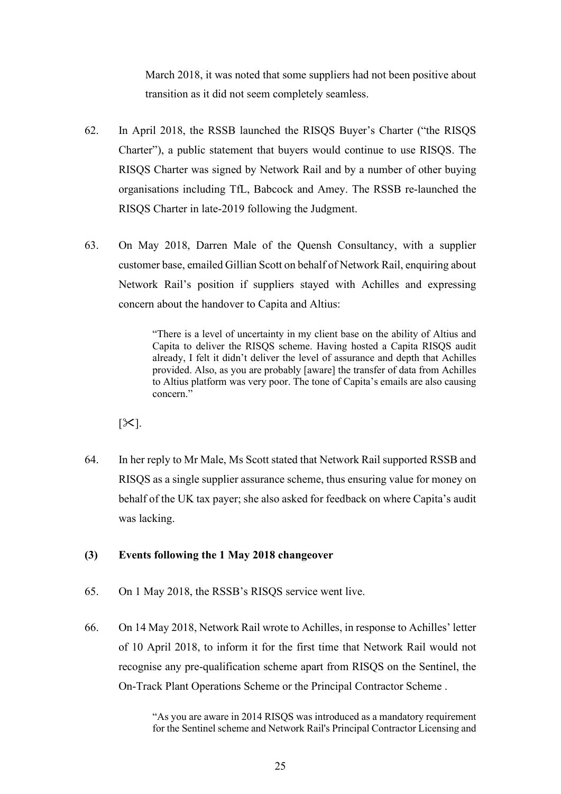March 2018, it was noted that some suppliers had not been positive about transition as it did not seem completely seamless.

- 62. In April 2018, the RSSB launched the RISQS Buyer's Charter ("the RISQS Charter"), a public statement that buyers would continue to use RISQS. The RISQS Charter was signed by Network Rail and by a number of other buying organisations including TfL, Babcock and Amey. The RSSB re-launched the RISQS Charter in late-2019 following the Judgment.
- 63. On May 2018, Darren Male of the Quensh Consultancy, with a supplier customer base, emailed Gillian Scott on behalf of Network Rail, enquiring about Network Rail's position if suppliers stayed with Achilles and expressing concern about the handover to Capita and Altius:

"There is a level of uncertainty in my client base on the ability of Altius and Capita to deliver the RISQS scheme. Having hosted a Capita RISQS audit already, I felt it didn't deliver the level of assurance and depth that Achilles provided. Also, as you are probably [aware] the transfer of data from Achilles to Altius platform was very poor. The tone of Capita's emails are also causing concern."

 $[\mathcal{K}]$ .

64. In her reply to Mr Male, Ms Scott stated that Network Rail supported RSSB and RISQS as a single supplier assurance scheme, thus ensuring value for money on behalf of the UK tax payer; she also asked for feedback on where Capita's audit was lacking.

# **(3) Events following the 1 May 2018 changeover**

- 65. On 1 May 2018, the RSSB's RISQS service went live.
- 66. On 14 May 2018, Network Rail wrote to Achilles, in response to Achilles' letter of 10 April 2018, to inform it for the first time that Network Rail would not recognise any pre-qualification scheme apart from RISQS on the Sentinel, the On-Track Plant Operations Scheme or the Principal Contractor Scheme .

"As you are aware in 2014 RISQS was introduced as a mandatory requirement for the Sentinel scheme and Network Rail's Principal Contractor Licensing and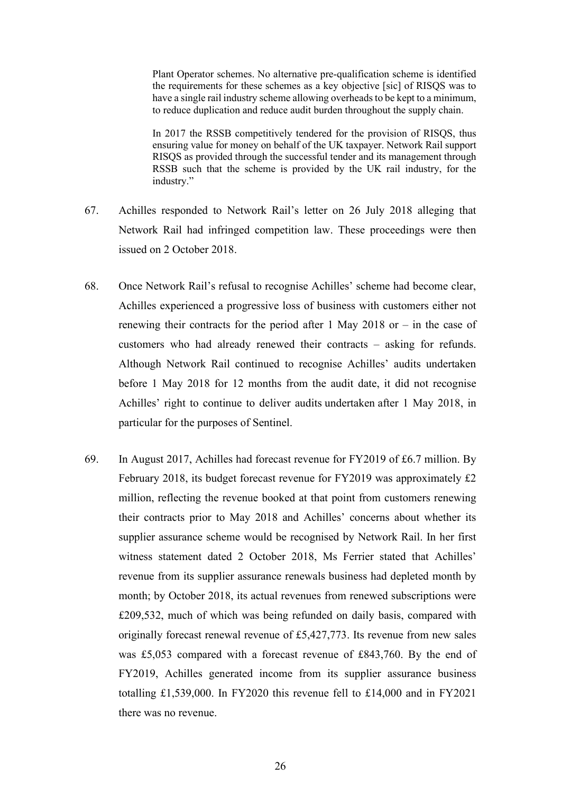Plant Operator schemes. No alternative pre-qualification scheme is identified the requirements for these schemes as a key objective [sic] of RISQS was to have a single rail industry scheme allowing overheads to be kept to a minimum, to reduce duplication and reduce audit burden throughout the supply chain.

In 2017 the RSSB competitively tendered for the provision of RISQS, thus ensuring value for money on behalf of the UK taxpayer. Network Rail support RISQS as provided through the successful tender and its management through RSSB such that the scheme is provided by the UK rail industry, for the industry."

- 67. Achilles responded to Network Rail's letter on 26 July 2018 alleging that Network Rail had infringed competition law. These proceedings were then issued on 2 October 2018.
- 68. Once Network Rail's refusal to recognise Achilles' scheme had become clear, Achilles experienced a progressive loss of business with customers either not renewing their contracts for the period after 1 May 2018 or  $-$  in the case of customers who had already renewed their contracts – asking for refunds. Although Network Rail continued to recognise Achilles' audits undertaken before 1 May 2018 for 12 months from the audit date, it did not recognise Achilles' right to continue to deliver audits undertaken after 1 May 2018, in particular for the purposes of Sentinel.
- 69. In August 2017, Achilles had forecast revenue for FY2019 of £6.7 million. By February 2018, its budget forecast revenue for FY2019 was approximately £2 million, reflecting the revenue booked at that point from customers renewing their contracts prior to May 2018 and Achilles' concerns about whether its supplier assurance scheme would be recognised by Network Rail. In her first witness statement dated 2 October 2018, Ms Ferrier stated that Achilles' revenue from its supplier assurance renewals business had depleted month by month; by October 2018, its actual revenues from renewed subscriptions were £209,532, much of which was being refunded on daily basis, compared with originally forecast renewal revenue of  $£5,427,773$ . Its revenue from new sales was £5,053 compared with a forecast revenue of £843,760. By the end of FY2019, Achilles generated income from its supplier assurance business totalling £1,539,000. In FY2020 this revenue fell to £14,000 and in FY2021 there was no revenue.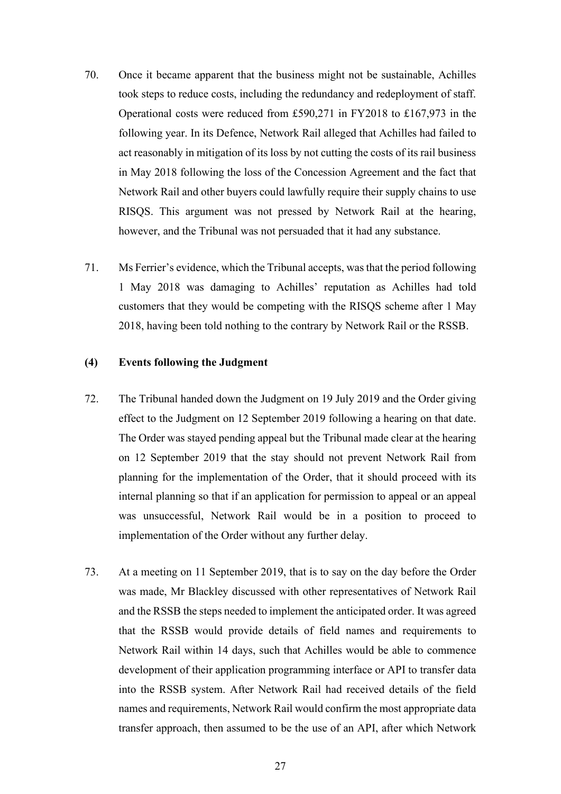- 70. Once it became apparent that the business might not be sustainable, Achilles took steps to reduce costs, including the redundancy and redeployment of staff. Operational costs were reduced from £590,271 in FY2018 to £167,973 in the following year. In its Defence, Network Rail alleged that Achilles had failed to act reasonably in mitigation of its loss by not cutting the costs of its rail business in May 2018 following the loss of the Concession Agreement and the fact that Network Rail and other buyers could lawfully require their supply chains to use RISQS. This argument was not pressed by Network Rail at the hearing, however, and the Tribunal was not persuaded that it had any substance.
- 71. Ms Ferrier's evidence, which the Tribunal accepts, wasthat the period following 1 May 2018 was damaging to Achilles' reputation as Achilles had told customers that they would be competing with the RISQS scheme after 1 May 2018, having been told nothing to the contrary by Network Rail or the RSSB.

#### **(4) Events following the Judgment**

- 72. The Tribunal handed down the Judgment on 19 July 2019 and the Order giving effect to the Judgment on 12 September 2019 following a hearing on that date. The Order was stayed pending appeal but the Tribunal made clear at the hearing on 12 September 2019 that the stay should not prevent Network Rail from planning for the implementation of the Order, that it should proceed with its internal planning so that if an application for permission to appeal or an appeal was unsuccessful, Network Rail would be in a position to proceed to implementation of the Order without any further delay.
- 73. At a meeting on 11 September 2019, that is to say on the day before the Order was made, Mr Blackley discussed with other representatives of Network Rail and the RSSB the steps needed to implement the anticipated order. It was agreed that the RSSB would provide details of field names and requirements to Network Rail within 14 days, such that Achilles would be able to commence development of their application programming interface or API to transfer data into the RSSB system. After Network Rail had received details of the field names and requirements, Network Rail would confirm the most appropriate data transfer approach, then assumed to be the use of an API, after which Network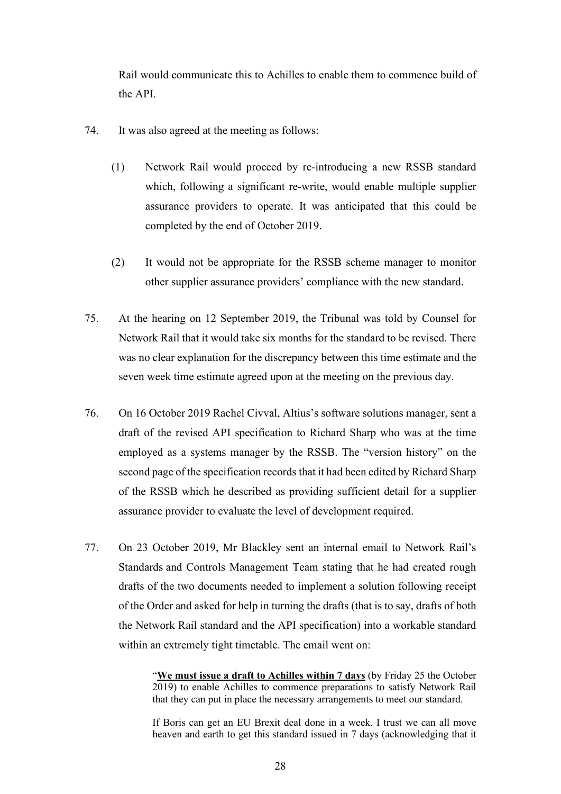Rail would communicate this to Achilles to enable them to commence build of the API.

- 74. It was also agreed at the meeting as follows:
	- (1) Network Rail would proceed by re-introducing a new RSSB standard which, following a significant re-write, would enable multiple supplier assurance providers to operate. It was anticipated that this could be completed by the end of October 2019.
	- (2) It would not be appropriate for the RSSB scheme manager to monitor other supplier assurance providers' compliance with the new standard.
- 75. At the hearing on 12 September 2019, the Tribunal was told by Counsel for Network Rail that it would take six months for the standard to be revised. There was no clear explanation for the discrepancy between this time estimate and the seven week time estimate agreed upon at the meeting on the previous day.
- 76. On 16 October 2019 Rachel Civval, Altius's software solutions manager, sent a draft of the revised API specification to Richard Sharp who was at the time employed as a systems manager by the RSSB. The "version history" on the second page of the specification records that it had been edited by Richard Sharp of the RSSB which he described as providing sufficient detail for a supplier assurance provider to evaluate the level of development required.
- 77. On 23 October 2019, Mr Blackley sent an internal email to Network Rail's Standards and Controls Management Team stating that he had created rough drafts of the two documents needed to implement a solution following receipt of the Order and asked for help in turning the drafts (that is to say, drafts of both the Network Rail standard and the API specification) into a workable standard within an extremely tight timetable. The email went on:

"**We must issue a draft to Achilles within 7 days** (by Friday 25 the October 2019) to enable Achilles to commence preparations to satisfy Network Rail that they can put in place the necessary arrangements to meet our standard.

If Boris can get an EU Brexit deal done in a week, I trust we can all move heaven and earth to get this standard issued in 7 days (acknowledging that it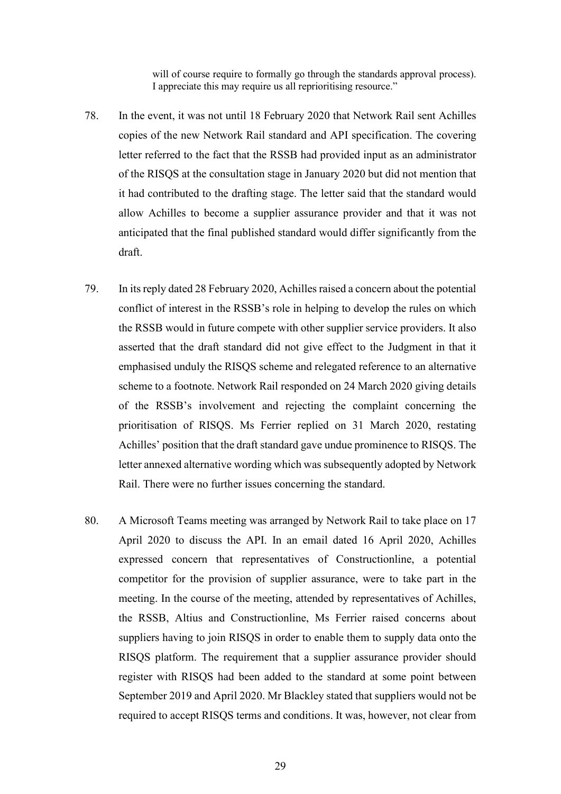will of course require to formally go through the standards approval process). I appreciate this may require us all reprioritising resource."

- 78. In the event, it was not until 18 February 2020 that Network Rail sent Achilles copies of the new Network Rail standard and API specification. The covering letter referred to the fact that the RSSB had provided input as an administrator of the RISQS at the consultation stage in January 2020 but did not mention that it had contributed to the drafting stage. The letter said that the standard would allow Achilles to become a supplier assurance provider and that it was not anticipated that the final published standard would differ significantly from the draft.
- 79. In its reply dated 28 February 2020, Achilles raised a concern about the potential conflict of interest in the RSSB's role in helping to develop the rules on which the RSSB would in future compete with other supplier service providers. It also asserted that the draft standard did not give effect to the Judgment in that it emphasised unduly the RISQS scheme and relegated reference to an alternative scheme to a footnote. Network Rail responded on 24 March 2020 giving details of the RSSB's involvement and rejecting the complaint concerning the prioritisation of RISQS. Ms Ferrier replied on 31 March 2020, restating Achilles' position that the draft standard gave undue prominence to RISQS. The letter annexed alternative wording which was subsequently adopted by Network Rail. There were no further issues concerning the standard.
- 80. A Microsoft Teams meeting was arranged by Network Rail to take place on 17 April 2020 to discuss the API. In an email dated 16 April 2020, Achilles expressed concern that representatives of Constructionline, a potential competitor for the provision of supplier assurance, were to take part in the meeting. In the course of the meeting, attended by representatives of Achilles, the RSSB, Altius and Constructionline, Ms Ferrier raised concerns about suppliers having to join RISQS in order to enable them to supply data onto the RISQS platform. The requirement that a supplier assurance provider should register with RISQS had been added to the standard at some point between September 2019 and April 2020. Mr Blackley stated that suppliers would not be required to accept RISQS terms and conditions. It was, however, not clear from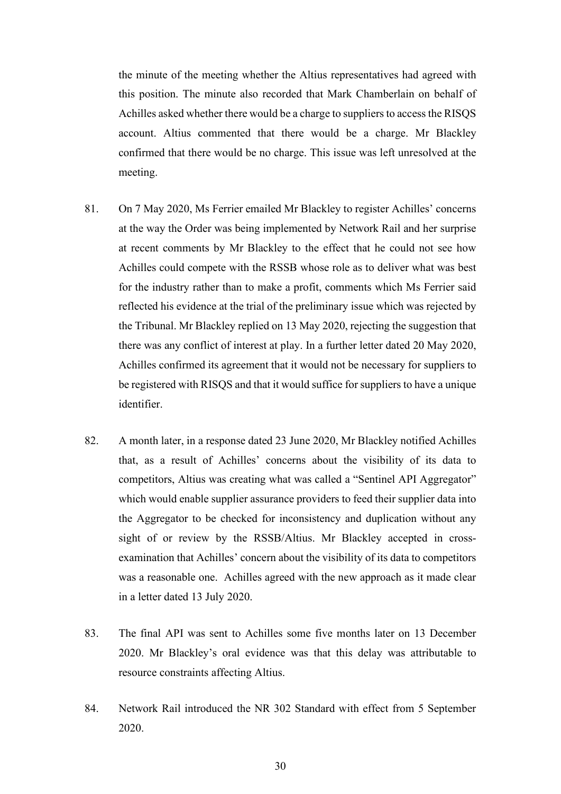the minute of the meeting whether the Altius representatives had agreed with this position. The minute also recorded that Mark Chamberlain on behalf of Achilles asked whether there would be a charge to suppliers to access the RISQS account. Altius commented that there would be a charge. Mr Blackley confirmed that there would be no charge. This issue was left unresolved at the meeting.

- 81. On 7 May 2020, Ms Ferrier emailed Mr Blackley to register Achilles' concerns at the way the Order was being implemented by Network Rail and her surprise at recent comments by Mr Blackley to the effect that he could not see how Achilles could compete with the RSSB whose role as to deliver what was best for the industry rather than to make a profit, comments which Ms Ferrier said reflected his evidence at the trial of the preliminary issue which was rejected by the Tribunal. Mr Blackley replied on 13 May 2020, rejecting the suggestion that there was any conflict of interest at play. In a further letter dated 20 May 2020, Achilles confirmed its agreement that it would not be necessary for suppliers to be registered with RISQS and that it would suffice for suppliers to have a unique identifier.
- 82. A month later, in a response dated 23 June 2020, Mr Blackley notified Achilles that, as a result of Achilles' concerns about the visibility of its data to competitors, Altius was creating what was called a "Sentinel API Aggregator" which would enable supplier assurance providers to feed their supplier data into the Aggregator to be checked for inconsistency and duplication without any sight of or review by the RSSB/Altius. Mr Blackley accepted in crossexamination that Achilles' concern about the visibility of its data to competitors was a reasonable one. Achilles agreed with the new approach as it made clear in a letter dated 13 July 2020.
- 83. The final API was sent to Achilles some five months later on 13 December 2020. Mr Blackley's oral evidence was that this delay was attributable to resource constraints affecting Altius.
- 84. Network Rail introduced the NR 302 Standard with effect from 5 September 2020.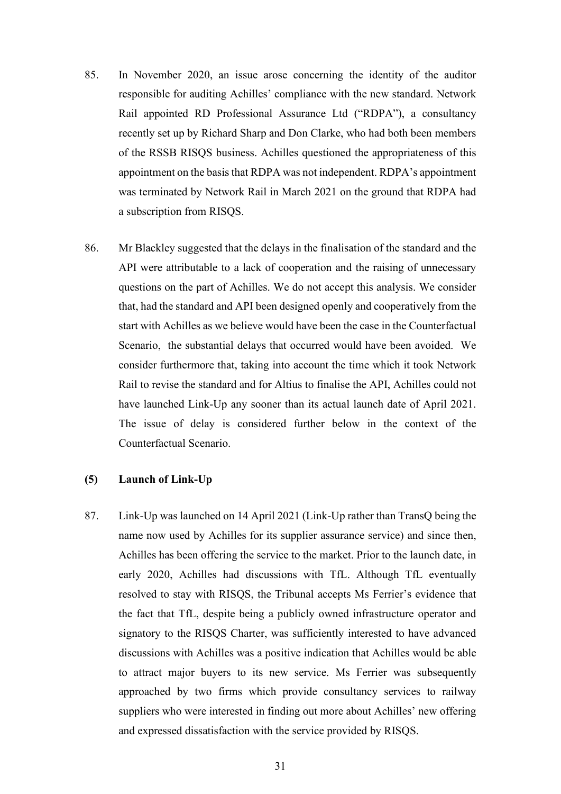- 85. In November 2020, an issue arose concerning the identity of the auditor responsible for auditing Achilles' compliance with the new standard. Network Rail appointed RD Professional Assurance Ltd ("RDPA"), a consultancy recently set up by Richard Sharp and Don Clarke, who had both been members of the RSSB RISQS business. Achilles questioned the appropriateness of this appointment on the basis that RDPA was not independent. RDPA's appointment was terminated by Network Rail in March 2021 on the ground that RDPA had a subscription from RISQS.
- 86. Mr Blackley suggested that the delays in the finalisation of the standard and the API were attributable to a lack of cooperation and the raising of unnecessary questions on the part of Achilles. We do not accept this analysis. We consider that, had the standard and API been designed openly and cooperatively from the start with Achilles as we believe would have been the case in the Counterfactual Scenario, the substantial delays that occurred would have been avoided. We consider furthermore that, taking into account the time which it took Network Rail to revise the standard and for Altius to finalise the API, Achilles could not have launched Link-Up any sooner than its actual launch date of April 2021. The issue of delay is considered further below in the context of the Counterfactual Scenario.

### **(5) Launch of Link-Up**

87. Link-Up was launched on 14 April 2021 (Link-Up rather than TransQ being the name now used by Achilles for its supplier assurance service) and since then, Achilles has been offering the service to the market. Prior to the launch date, in early 2020, Achilles had discussions with TfL. Although TfL eventually resolved to stay with RISQS, the Tribunal accepts Ms Ferrier's evidence that the fact that TfL, despite being a publicly owned infrastructure operator and signatory to the RISQS Charter, was sufficiently interested to have advanced discussions with Achilles was a positive indication that Achilles would be able to attract major buyers to its new service. Ms Ferrier was subsequently approached by two firms which provide consultancy services to railway suppliers who were interested in finding out more about Achilles' new offering and expressed dissatisfaction with the service provided by RISQS.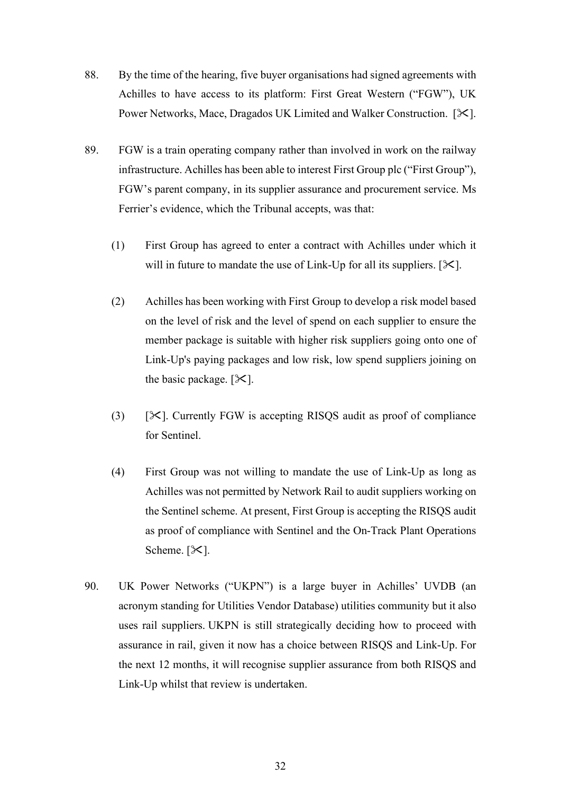- 88. By the time of the hearing, five buyer organisations had signed agreements with Achilles to have access to its platform: First Great Western ("FGW"), UK Power Networks, Mace, Dragados UK Limited and Walker Construction. [ $\mathcal{K}$ ].
- 89. FGW is a train operating company rather than involved in work on the railway infrastructure. Achilles has been able to interest First Group plc ("First Group"), FGW's parent company, in its supplier assurance and procurement service. Ms Ferrier's evidence, which the Tribunal accepts, was that:
	- (1) First Group has agreed to enter a contract with Achilles under which it will in future to mandate the use of Link-Up for all its suppliers.  $[\mathcal{K}]$ .
	- (2) Achilles has been working with First Group to develop a risk model based on the level of risk and the level of spend on each supplier to ensure the member package is suitable with higher risk suppliers going onto one of Link-Up's paying packages and low risk, low spend suppliers joining on the basic package.  $[\mathcal{K}]$ .
	- (3)  $[\times]$ . Currently FGW is accepting RISQS audit as proof of compliance for Sentinel.
	- (4) First Group was not willing to mandate the use of Link-Up as long as Achilles was not permitted by Network Rail to audit suppliers working on the Sentinel scheme. At present, First Group is accepting the RISQS audit as proof of compliance with Sentinel and the On-Track Plant Operations Scheme.  $[\mathcal{K}]$ .
- 90. UK Power Networks ("UKPN") is a large buyer in Achilles' UVDB (an acronym standing for Utilities Vendor Database) utilities community but it also uses rail suppliers. UKPN is still strategically deciding how to proceed with assurance in rail, given it now has a choice between RISQS and Link-Up. For the next 12 months, it will recognise supplier assurance from both RISQS and Link-Up whilst that review is undertaken.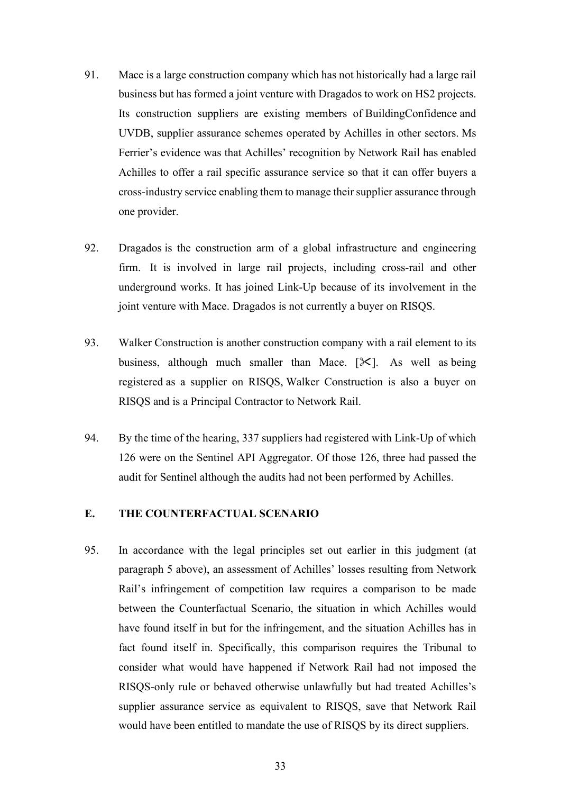- 91. Mace is a large construction company which has not historically had a large rail business but has formed a joint venture with Dragados to work on HS2 projects. Its construction suppliers are existing members of BuildingConfidence and UVDB, supplier assurance schemes operated by Achilles in other sectors. Ms Ferrier's evidence was that Achilles' recognition by Network Rail has enabled Achilles to offer a rail specific assurance service so that it can offer buyers a cross-industry service enabling them to manage their supplier assurance through one provider.
- 92. Dragados is the construction arm of a global infrastructure and engineering firm. It is involved in large rail projects, including cross-rail and other underground works. It has joined Link-Up because of its involvement in the joint venture with Mace. Dragados is not currently a buyer on RISQS.
- 93. Walker Construction is another construction company with a rail element to its business, although much smaller than Mace.  $[\mathcal{K}]$ . As well as being registered as a supplier on RISQS, Walker Construction is also a buyer on RISQS and is a Principal Contractor to Network Rail.
- 94. By the time of the hearing, 337 suppliers had registered with Link-Up of which 126 were on the Sentinel API Aggregator. Of those 126, three had passed the audit for Sentinel although the audits had not been performed by Achilles.

# **E. THE COUNTERFACTUAL SCENARIO**

95. In accordance with the legal principles set out earlier in this judgment (at paragraph 5 above), an assessment of Achilles' losses resulting from Network Rail's infringement of competition law requires a comparison to be made between the Counterfactual Scenario, the situation in which Achilles would have found itself in but for the infringement, and the situation Achilles has in fact found itself in. Specifically, this comparison requires the Tribunal to consider what would have happened if Network Rail had not imposed the RISQS-only rule or behaved otherwise unlawfully but had treated Achilles's supplier assurance service as equivalent to RISQS, save that Network Rail would have been entitled to mandate the use of RISQS by its direct suppliers.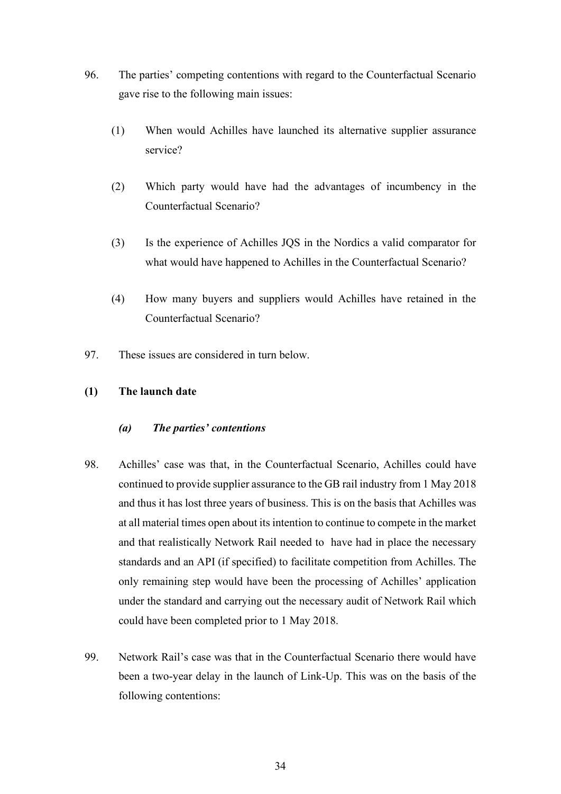- 96. The parties' competing contentions with regard to the Counterfactual Scenario gave rise to the following main issues:
	- (1) When would Achilles have launched its alternative supplier assurance service?
	- (2) Which party would have had the advantages of incumbency in the Counterfactual Scenario?
	- (3) Is the experience of Achilles JQS in the Nordics a valid comparator for what would have happened to Achilles in the Counterfactual Scenario?
	- (4) How many buyers and suppliers would Achilles have retained in the Counterfactual Scenario?
- 97. These issues are considered in turn below.

# **(1) The launch date**

# *(a) The parties' contentions*

- 98. Achilles' case was that, in the Counterfactual Scenario, Achilles could have continued to provide supplier assurance to the GB rail industry from 1 May 2018 and thus it has lost three years of business. This is on the basis that Achilles was at all material times open about its intention to continue to compete in the market and that realistically Network Rail needed to have had in place the necessary standards and an API (if specified) to facilitate competition from Achilles. The only remaining step would have been the processing of Achilles' application under the standard and carrying out the necessary audit of Network Rail which could have been completed prior to 1 May 2018.
- 99. Network Rail's case was that in the Counterfactual Scenario there would have been a two-year delay in the launch of Link-Up. This was on the basis of the following contentions: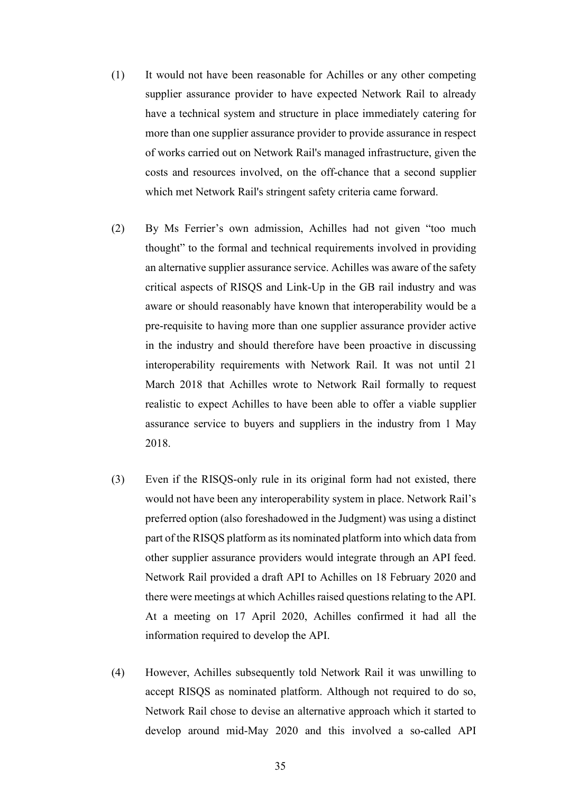- (1) It would not have been reasonable for Achilles or any other competing supplier assurance provider to have expected Network Rail to already have a technical system and structure in place immediately catering for more than one supplier assurance provider to provide assurance in respect of works carried out on Network Rail's managed infrastructure, given the costs and resources involved, on the off-chance that a second supplier which met Network Rail's stringent safety criteria came forward.
- (2) By Ms Ferrier's own admission, Achilles had not given "too much thought" to the formal and technical requirements involved in providing an alternative supplier assurance service. Achilles was aware of the safety critical aspects of RISQS and Link-Up in the GB rail industry and was aware or should reasonably have known that interoperability would be a pre-requisite to having more than one supplier assurance provider active in the industry and should therefore have been proactive in discussing interoperability requirements with Network Rail. It was not until 21 March 2018 that Achilles wrote to Network Rail formally to request realistic to expect Achilles to have been able to offer a viable supplier assurance service to buyers and suppliers in the industry from 1 May 2018.
- (3) Even if the RISQS-only rule in its original form had not existed, there would not have been any interoperability system in place. Network Rail's preferred option (also foreshadowed in the Judgment) was using a distinct part of the RISQS platform as its nominated platform into which data from other supplier assurance providers would integrate through an API feed. Network Rail provided a draft API to Achilles on 18 February 2020 and there were meetings at which Achilles raised questions relating to the API. At a meeting on 17 April 2020, Achilles confirmed it had all the information required to develop the API.
- (4) However, Achilles subsequently told Network Rail it was unwilling to accept RISQS as nominated platform. Although not required to do so, Network Rail chose to devise an alternative approach which it started to develop around mid-May 2020 and this involved a so-called API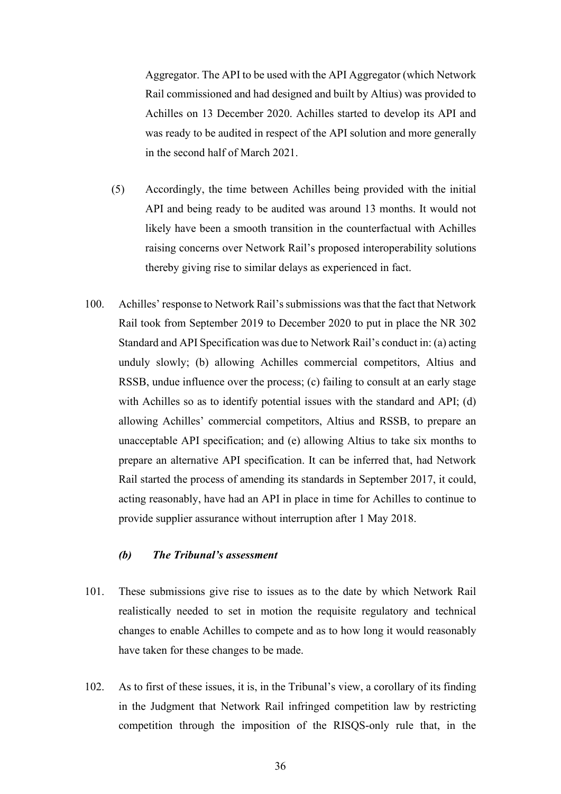Aggregator. The API to be used with the API Aggregator (which Network Rail commissioned and had designed and built by Altius) was provided to Achilles on 13 December 2020. Achilles started to develop its API and was ready to be audited in respect of the API solution and more generally in the second half of March 2021.

- (5) Accordingly, the time between Achilles being provided with the initial API and being ready to be audited was around 13 months. It would not likely have been a smooth transition in the counterfactual with Achilles raising concerns over Network Rail's proposed interoperability solutions thereby giving rise to similar delays as experienced in fact.
- 100. Achilles' response to Network Rail's submissions was that the fact that Network Rail took from September 2019 to December 2020 to put in place the NR 302 Standard and API Specification was due to Network Rail's conduct in: (a) acting unduly slowly; (b) allowing Achilles commercial competitors, Altius and RSSB, undue influence over the process; (c) failing to consult at an early stage with Achilles so as to identify potential issues with the standard and API; (d) allowing Achilles' commercial competitors, Altius and RSSB, to prepare an unacceptable API specification; and (e) allowing Altius to take six months to prepare an alternative API specification. It can be inferred that, had Network Rail started the process of amending its standards in September 2017, it could, acting reasonably, have had an API in place in time for Achilles to continue to provide supplier assurance without interruption after 1 May 2018.

# *(b) The Tribunal's assessment*

- 101. These submissions give rise to issues as to the date by which Network Rail realistically needed to set in motion the requisite regulatory and technical changes to enable Achilles to compete and as to how long it would reasonably have taken for these changes to be made.
- 102. As to first of these issues, it is, in the Tribunal's view, a corollary of its finding in the Judgment that Network Rail infringed competition law by restricting competition through the imposition of the RISQS-only rule that, in the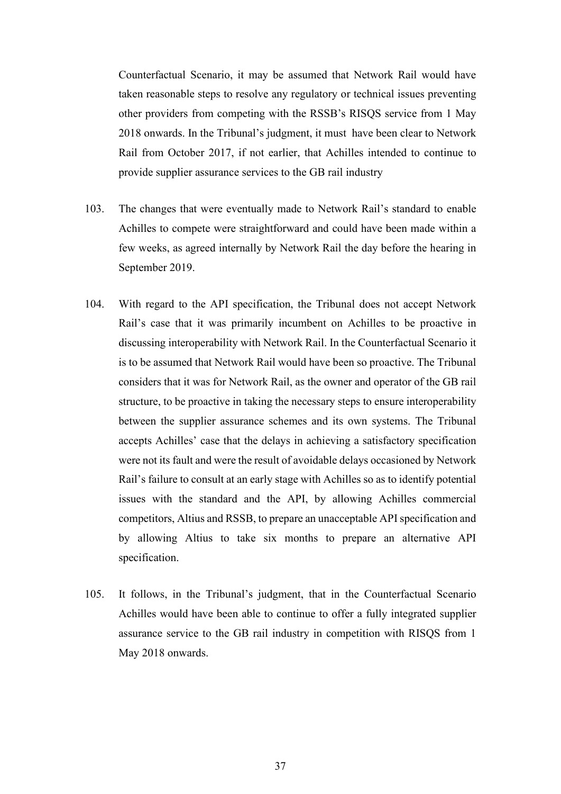Counterfactual Scenario, it may be assumed that Network Rail would have taken reasonable steps to resolve any regulatory or technical issues preventing other providers from competing with the RSSB's RISQS service from 1 May 2018 onwards. In the Tribunal's judgment, it must have been clear to Network Rail from October 2017, if not earlier, that Achilles intended to continue to provide supplier assurance services to the GB rail industry

- 103. The changes that were eventually made to Network Rail's standard to enable Achilles to compete were straightforward and could have been made within a few weeks, as agreed internally by Network Rail the day before the hearing in September 2019.
- 104. With regard to the API specification, the Tribunal does not accept Network Rail's case that it was primarily incumbent on Achilles to be proactive in discussing interoperability with Network Rail. In the Counterfactual Scenario it is to be assumed that Network Rail would have been so proactive. The Tribunal considers that it was for Network Rail, as the owner and operator of the GB rail structure, to be proactive in taking the necessary steps to ensure interoperability between the supplier assurance schemes and its own systems. The Tribunal accepts Achilles' case that the delays in achieving a satisfactory specification were not its fault and were the result of avoidable delays occasioned by Network Rail's failure to consult at an early stage with Achilles so as to identify potential issues with the standard and the API, by allowing Achilles commercial competitors, Altius and RSSB, to prepare an unacceptable API specification and by allowing Altius to take six months to prepare an alternative API specification.
- 105. It follows, in the Tribunal's judgment, that in the Counterfactual Scenario Achilles would have been able to continue to offer a fully integrated supplier assurance service to the GB rail industry in competition with RISQS from 1 May 2018 onwards.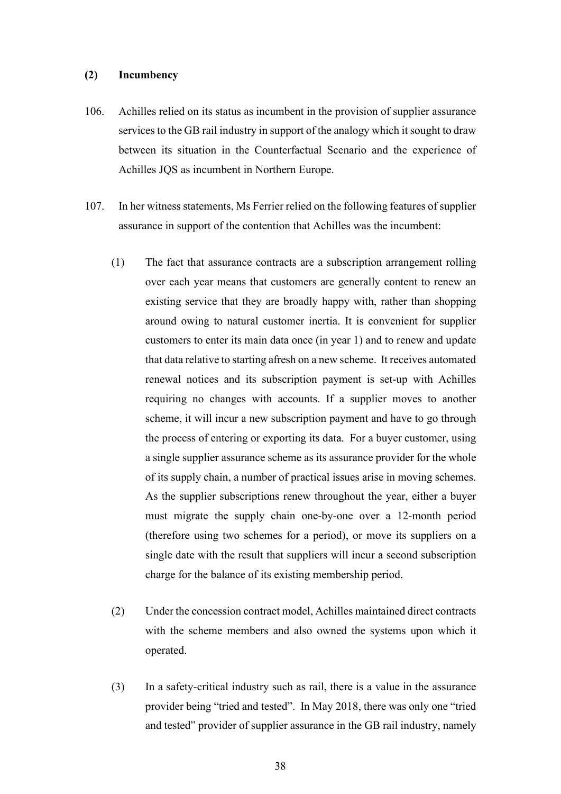#### **(2) Incumbency**

- 106. Achilles relied on its status as incumbent in the provision of supplier assurance services to the GB rail industry in support of the analogy which it sought to draw between its situation in the Counterfactual Scenario and the experience of Achilles JQS as incumbent in Northern Europe.
- 107. In her witness statements, Ms Ferrier relied on the following features of supplier assurance in support of the contention that Achilles was the incumbent:
	- (1) The fact that assurance contracts are a subscription arrangement rolling over each year means that customers are generally content to renew an existing service that they are broadly happy with, rather than shopping around owing to natural customer inertia. It is convenient for supplier customers to enter its main data once (in year 1) and to renew and update that data relative to starting afresh on a new scheme. It receives automated renewal notices and its subscription payment is set-up with Achilles requiring no changes with accounts. If a supplier moves to another scheme, it will incur a new subscription payment and have to go through the process of entering or exporting its data. For a buyer customer, using a single supplier assurance scheme as its assurance provider for the whole of its supply chain, a number of practical issues arise in moving schemes. As the supplier subscriptions renew throughout the year, either a buyer must migrate the supply chain one-by-one over a 12-month period (therefore using two schemes for a period), or move its suppliers on a single date with the result that suppliers will incur a second subscription charge for the balance of its existing membership period.
	- (2) Under the concession contract model, Achilles maintained direct contracts with the scheme members and also owned the systems upon which it operated.
	- (3) In a safety-critical industry such as rail, there is a value in the assurance provider being "tried and tested". In May 2018, there was only one "tried and tested" provider of supplier assurance in the GB rail industry, namely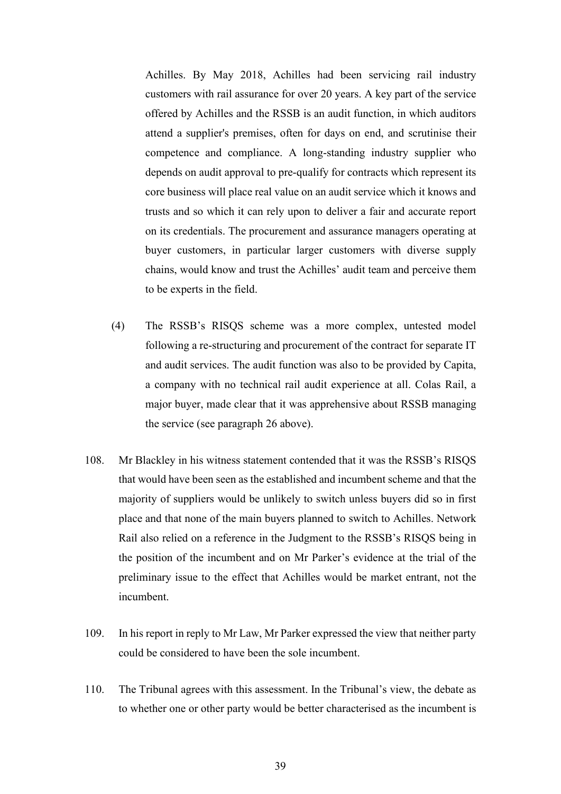Achilles. By May 2018, Achilles had been servicing rail industry customers with rail assurance for over 20 years. A key part of the service offered by Achilles and the RSSB is an audit function, in which auditors attend a supplier's premises, often for days on end, and scrutinise their competence and compliance. A long-standing industry supplier who depends on audit approval to pre-qualify for contracts which represent its core business will place real value on an audit service which it knows and trusts and so which it can rely upon to deliver a fair and accurate report on its credentials. The procurement and assurance managers operating at buyer customers, in particular larger customers with diverse supply chains, would know and trust the Achilles' audit team and perceive them to be experts in the field.

- (4) The RSSB's RISQS scheme was a more complex, untested model following a re-structuring and procurement of the contract for separate IT and audit services. The audit function was also to be provided by Capita, a company with no technical rail audit experience at all. Colas Rail, a major buyer, made clear that it was apprehensive about RSSB managing the service (see paragraph 26 above).
- 108. Mr Blackley in his witness statement contended that it was the RSSB's RISQS that would have been seen as the established and incumbent scheme and that the majority of suppliers would be unlikely to switch unless buyers did so in first place and that none of the main buyers planned to switch to Achilles. Network Rail also relied on a reference in the Judgment to the RSSB's RISQS being in the position of the incumbent and on Mr Parker's evidence at the trial of the preliminary issue to the effect that Achilles would be market entrant, not the incumbent.
- 109. In his report in reply to Mr Law, Mr Parker expressed the view that neither party could be considered to have been the sole incumbent.
- 110. The Tribunal agrees with this assessment. In the Tribunal's view, the debate as to whether one or other party would be better characterised as the incumbent is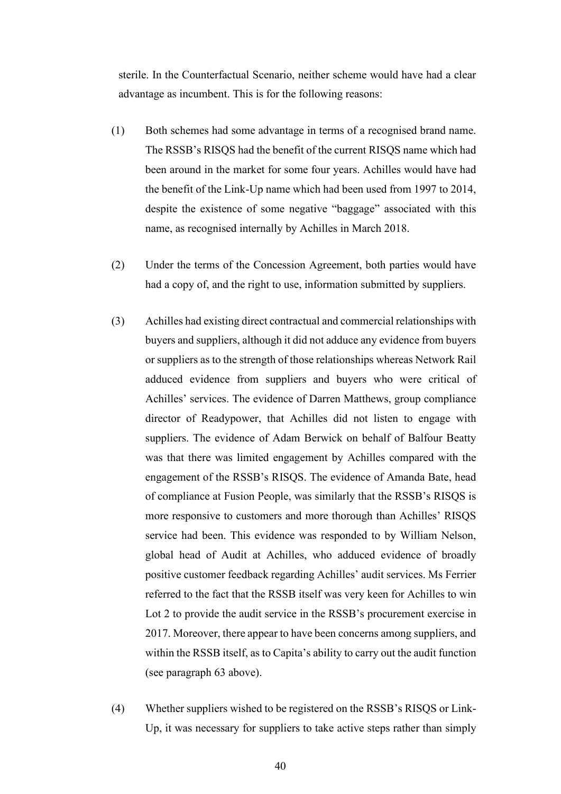sterile. In the Counterfactual Scenario, neither scheme would have had a clear advantage as incumbent. This is for the following reasons:

- (1) Both schemes had some advantage in terms of a recognised brand name. The RSSB's RISQS had the benefit of the current RISQS name which had been around in the market for some four years. Achilles would have had the benefit of the Link-Up name which had been used from 1997 to 2014, despite the existence of some negative "baggage" associated with this name, as recognised internally by Achilles in March 2018.
- (2) Under the terms of the Concession Agreement, both parties would have had a copy of, and the right to use, information submitted by suppliers.
- (3) Achilles had existing direct contractual and commercial relationships with buyers and suppliers, although it did not adduce any evidence from buyers or suppliers as to the strength of those relationships whereas Network Rail adduced evidence from suppliers and buyers who were critical of Achilles' services. The evidence of Darren Matthews, group compliance director of Readypower, that Achilles did not listen to engage with suppliers. The evidence of Adam Berwick on behalf of Balfour Beatty was that there was limited engagement by Achilles compared with the engagement of the RSSB's RISQS. The evidence of Amanda Bate, head of compliance at Fusion People, was similarly that the RSSB's RISQS is more responsive to customers and more thorough than Achilles' RISQS service had been. This evidence was responded to by William Nelson, global head of Audit at Achilles, who adduced evidence of broadly positive customer feedback regarding Achilles' audit services. Ms Ferrier referred to the fact that the RSSB itself was very keen for Achilles to win Lot 2 to provide the audit service in the RSSB's procurement exercise in 2017. Moreover, there appear to have been concerns among suppliers, and within the RSSB itself, as to Capita's ability to carry out the audit function (see paragraph 63 above).
- (4) Whether suppliers wished to be registered on the RSSB's RISQS or Link-Up, it was necessary for suppliers to take active steps rather than simply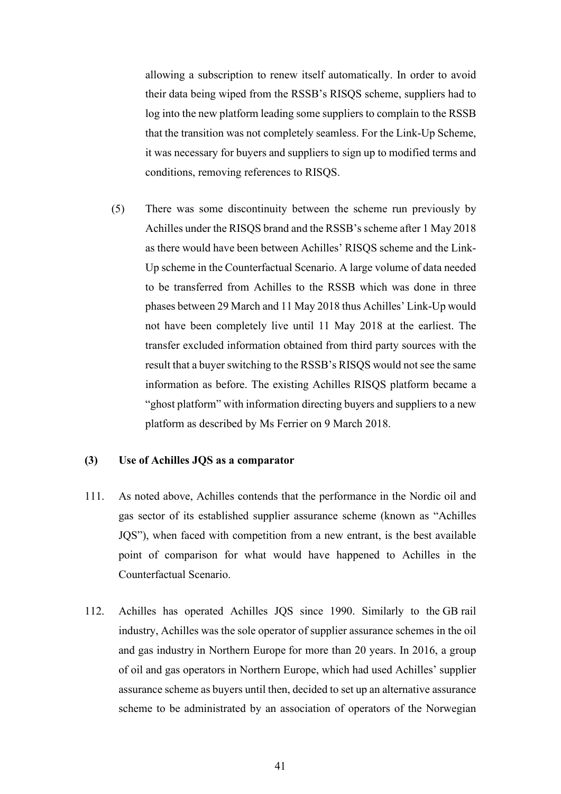allowing a subscription to renew itself automatically. In order to avoid their data being wiped from the RSSB's RISQS scheme, suppliers had to log into the new platform leading some suppliers to complain to the RSSB that the transition was not completely seamless. For the Link-Up Scheme, it was necessary for buyers and suppliers to sign up to modified terms and conditions, removing references to RISQS.

(5) There was some discontinuity between the scheme run previously by Achilles under the RISQS brand and the RSSB's scheme after 1 May 2018 as there would have been between Achilles' RISQS scheme and the Link-Up scheme in the Counterfactual Scenario. A large volume of data needed to be transferred from Achilles to the RSSB which was done in three phases between 29 March and 11 May 2018 thus Achilles' Link-Up would not have been completely live until 11 May 2018 at the earliest. The transfer excluded information obtained from third party sources with the result that a buyer switching to the RSSB's RISQS would not see the same information as before. The existing Achilles RISQS platform became a "ghost platform" with information directing buyers and suppliers to a new platform as described by Ms Ferrier on 9 March 2018.

### **(3) Use of Achilles JQS as a comparator**

- 111. As noted above, Achilles contends that the performance in the Nordic oil and gas sector of its established supplier assurance scheme (known as "Achilles JQS"), when faced with competition from a new entrant, is the best available point of comparison for what would have happened to Achilles in the Counterfactual Scenario.
- 112. Achilles has operated Achilles JQS since 1990. Similarly to the GB rail industry, Achilles was the sole operator of supplier assurance schemes in the oil and gas industry in Northern Europe for more than 20 years. In 2016, a group of oil and gas operators in Northern Europe, which had used Achilles' supplier assurance scheme as buyers until then, decided to set up an alternative assurance scheme to be administrated by an association of operators of the Norwegian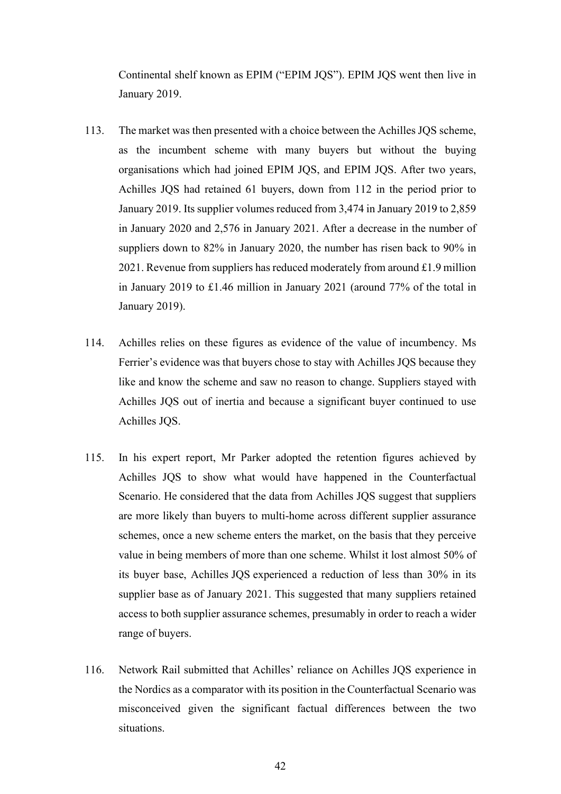Continental shelf known as EPIM ("EPIM JQS"). EPIM JQS went then live in January 2019.

- 113. The market was then presented with a choice between the Achilles JQS scheme, as the incumbent scheme with many buyers but without the buying organisations which had joined EPIM JQS, and EPIM JQS. After two years, Achilles JQS had retained 61 buyers, down from 112 in the period prior to January 2019. Its supplier volumes reduced from 3,474 in January 2019 to 2,859 in January 2020 and 2,576 in January 2021. After a decrease in the number of suppliers down to 82% in January 2020, the number has risen back to 90% in 2021. Revenue from suppliers has reduced moderately from around £1.9 million in January 2019 to £1.46 million in January 2021 (around 77% of the total in January 2019).
- 114. Achilles relies on these figures as evidence of the value of incumbency. Ms Ferrier's evidence was that buyers chose to stay with Achilles JQS because they like and know the scheme and saw no reason to change. Suppliers stayed with Achilles JQS out of inertia and because a significant buyer continued to use Achilles JQS.
- 115. In his expert report, Mr Parker adopted the retention figures achieved by Achilles JQS to show what would have happened in the Counterfactual Scenario. He considered that the data from Achilles JQS suggest that suppliers are more likely than buyers to multi-home across different supplier assurance schemes, once a new scheme enters the market, on the basis that they perceive value in being members of more than one scheme. Whilst it lost almost 50% of its buyer base, Achilles JQS experienced a reduction of less than 30% in its supplier base as of January 2021. This suggested that many suppliers retained access to both supplier assurance schemes, presumably in order to reach a wider range of buyers.
- 116. Network Rail submitted that Achilles' reliance on Achilles JQS experience in the Nordics as a comparator with its position in the Counterfactual Scenario was misconceived given the significant factual differences between the two situations.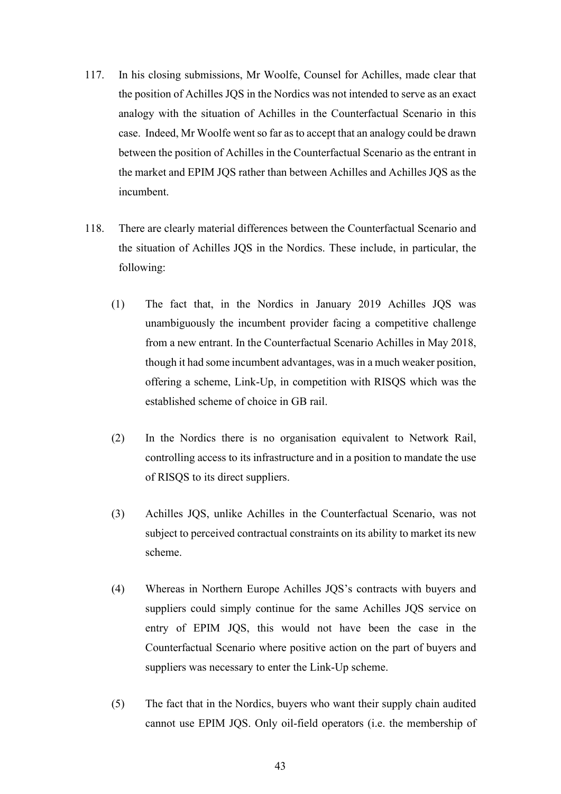- 117. In his closing submissions, Mr Woolfe, Counsel for Achilles, made clear that the position of Achilles JQS in the Nordics was not intended to serve as an exact analogy with the situation of Achilles in the Counterfactual Scenario in this case. Indeed, Mr Woolfe went so far as to accept that an analogy could be drawn between the position of Achilles in the Counterfactual Scenario as the entrant in the market and EPIM JQS rather than between Achilles and Achilles JQS as the incumbent.
- 118. There are clearly material differences between the Counterfactual Scenario and the situation of Achilles JQS in the Nordics. These include, in particular, the following:
	- (1) The fact that, in the Nordics in January 2019 Achilles JQS was unambiguously the incumbent provider facing a competitive challenge from a new entrant. In the Counterfactual Scenario Achilles in May 2018, though it had some incumbent advantages, was in a much weaker position, offering a scheme, Link-Up, in competition with RISQS which was the established scheme of choice in GB rail.
	- (2) In the Nordics there is no organisation equivalent to Network Rail, controlling access to its infrastructure and in a position to mandate the use of RISQS to its direct suppliers.
	- (3) Achilles JQS, unlike Achilles in the Counterfactual Scenario, was not subject to perceived contractual constraints on its ability to market its new scheme.
	- (4) Whereas in Northern Europe Achilles JQS's contracts with buyers and suppliers could simply continue for the same Achilles JQS service on entry of EPIM JQS, this would not have been the case in the Counterfactual Scenario where positive action on the part of buyers and suppliers was necessary to enter the Link-Up scheme.
	- (5) The fact that in the Nordics, buyers who want their supply chain audited cannot use EPIM JQS. Only oil-field operators (i.e. the membership of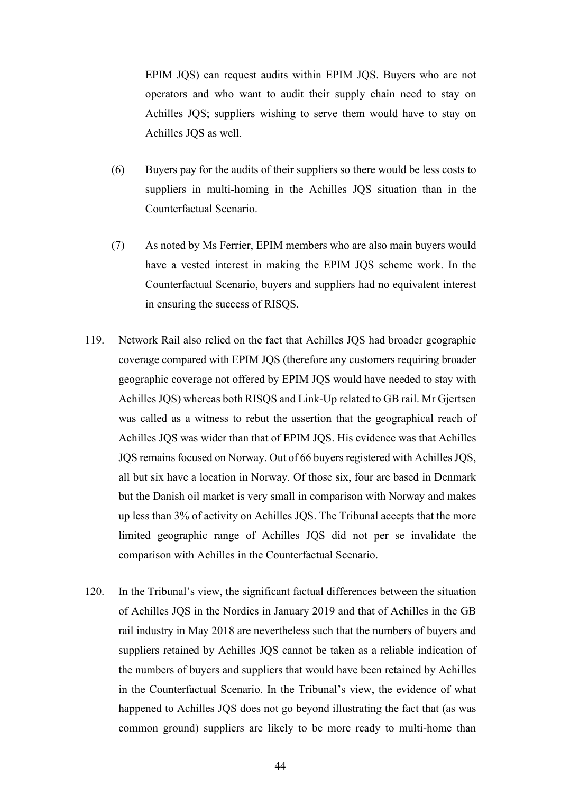EPIM JQS) can request audits within EPIM JQS. Buyers who are not operators and who want to audit their supply chain need to stay on Achilles JQS; suppliers wishing to serve them would have to stay on Achilles JQS as well.

- (6) Buyers pay for the audits of their suppliers so there would be less costs to suppliers in multi-homing in the Achilles JQS situation than in the Counterfactual Scenario.
- (7) As noted by Ms Ferrier, EPIM members who are also main buyers would have a vested interest in making the EPIM JQS scheme work. In the Counterfactual Scenario, buyers and suppliers had no equivalent interest in ensuring the success of RISQS.
- 119. Network Rail also relied on the fact that Achilles JQS had broader geographic coverage compared with EPIM JQS (therefore any customers requiring broader geographic coverage not offered by EPIM JQS would have needed to stay with Achilles JQS) whereas both RISQS and Link-Up related to GB rail. Mr Gjertsen was called as a witness to rebut the assertion that the geographical reach of Achilles JQS was wider than that of EPIM JQS. His evidence was that Achilles JQS remains focused on Norway. Out of 66 buyers registered with Achilles JQS, all but six have a location in Norway. Of those six, four are based in Denmark but the Danish oil market is very small in comparison with Norway and makes up less than 3% of activity on Achilles JQS. The Tribunal accepts that the more limited geographic range of Achilles JQS did not per se invalidate the comparison with Achilles in the Counterfactual Scenario.
- 120. In the Tribunal's view, the significant factual differences between the situation of Achilles JQS in the Nordics in January 2019 and that of Achilles in the GB rail industry in May 2018 are nevertheless such that the numbers of buyers and suppliers retained by Achilles JQS cannot be taken as a reliable indication of the numbers of buyers and suppliers that would have been retained by Achilles in the Counterfactual Scenario. In the Tribunal's view, the evidence of what happened to Achilles JQS does not go beyond illustrating the fact that (as was common ground) suppliers are likely to be more ready to multi-home than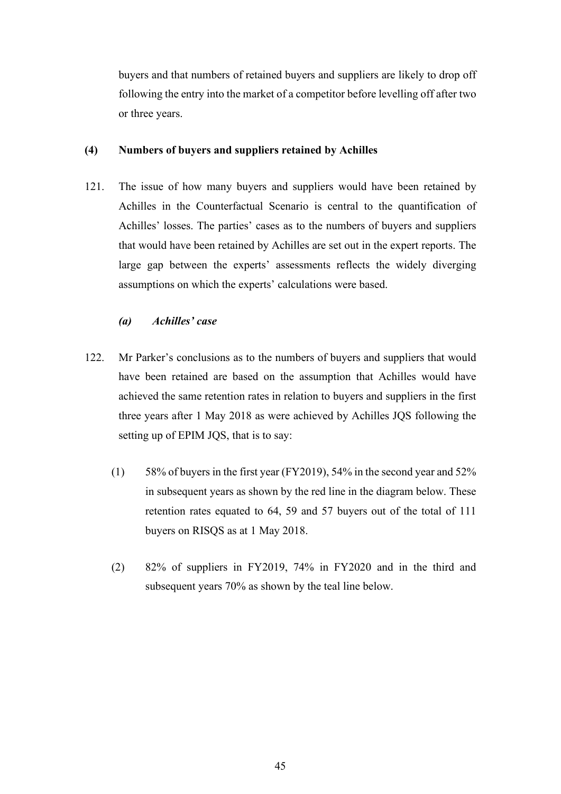buyers and that numbers of retained buyers and suppliers are likely to drop off following the entry into the market of a competitor before levelling off after two or three years.

### **(4) Numbers of buyers and suppliers retained by Achilles**

121. The issue of how many buyers and suppliers would have been retained by Achilles in the Counterfactual Scenario is central to the quantification of Achilles' losses. The parties' cases as to the numbers of buyers and suppliers that would have been retained by Achilles are set out in the expert reports. The large gap between the experts' assessments reflects the widely diverging assumptions on which the experts' calculations were based.

# *(a) Achilles' case*

- 122. Mr Parker's conclusions as to the numbers of buyers and suppliers that would have been retained are based on the assumption that Achilles would have achieved the same retention rates in relation to buyers and suppliers in the first three years after 1 May 2018 as were achieved by Achilles JQS following the setting up of EPIM JQS, that is to say:
	- (1) 58% of buyers in the first year (FY2019), 54% in the second year and 52% in subsequent years as shown by the red line in the diagram below. These retention rates equated to 64, 59 and 57 buyers out of the total of 111 buyers on RISQS as at 1 May 2018.
	- (2) 82% of suppliers in FY2019, 74% in FY2020 and in the third and subsequent years 70% as shown by the teal line below.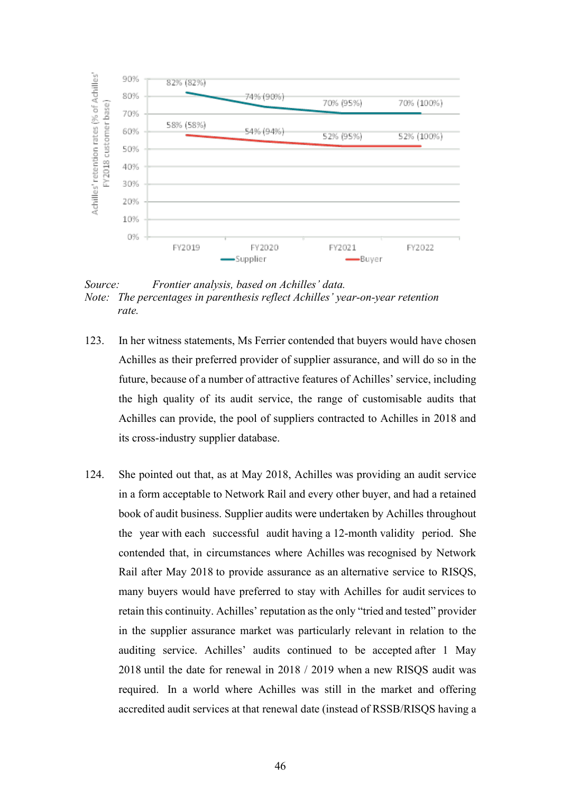

*Source: Frontier analysis, based on Achilles' data. Note: The percentages in parenthesis reflect Achilles' year-on-year retention rate.* 

- 123. In her witness statements, Ms Ferrier contended that buyers would have chosen Achilles as their preferred provider of supplier assurance, and will do so in the future, because of a number of attractive features of Achilles' service, including the high quality of its audit service, the range of customisable audits that Achilles can provide, the pool of suppliers contracted to Achilles in 2018 and its cross-industry supplier database.
- 124. She pointed out that, as at May 2018, Achilles was providing an audit service in a form acceptable to Network Rail and every other buyer, and had a retained book of audit business. Supplier audits were undertaken by Achilles throughout the year with each successful audit having a 12-month validity period. She contended that, in circumstances where Achilles was recognised by Network Rail after May 2018 to provide assurance as an alternative service to RISQS, many buyers would have preferred to stay with Achilles for audit services to retain this continuity. Achilles' reputation as the only "tried and tested" provider in the supplier assurance market was particularly relevant in relation to the auditing service. Achilles' audits continued to be accepted after 1 May 2018 until the date for renewal in 2018 / 2019 when a new RISQS audit was required. In a world where Achilles was still in the market and offering accredited audit services at that renewal date (instead of RSSB/RISQS having a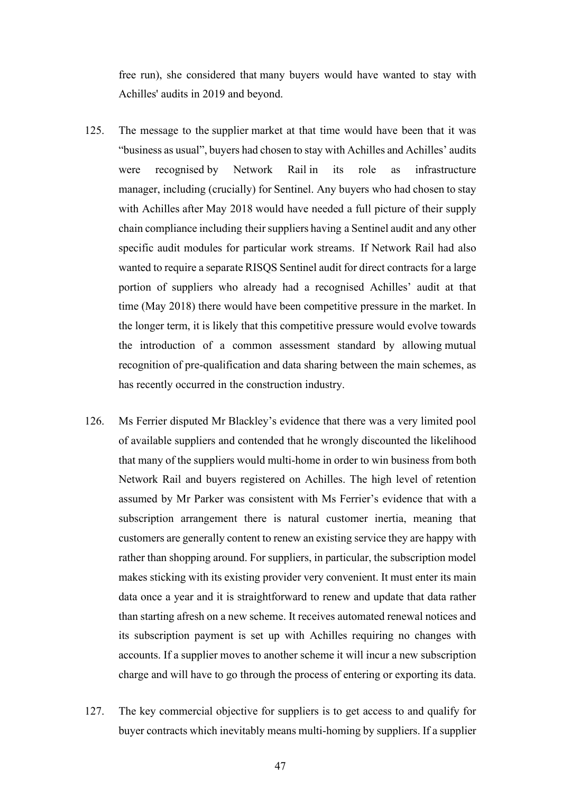free run), she considered that many buyers would have wanted to stay with Achilles' audits in 2019 and beyond.

- 125. The message to the supplier market at that time would have been that it was "business as usual", buyers had chosen to stay with Achilles and Achilles' audits were recognised by Network Rail in its role as infrastructure manager, including (crucially) for Sentinel. Any buyers who had chosen to stay with Achilles after May 2018 would have needed a full picture of their supply chain compliance including their suppliers having a Sentinel audit and any other specific audit modules for particular work streams. If Network Rail had also wanted to require a separate RISQS Sentinel audit for direct contracts for a large portion of suppliers who already had a recognised Achilles' audit at that time (May 2018) there would have been competitive pressure in the market. In the longer term, it is likely that this competitive pressure would evolve towards the introduction of a common assessment standard by allowing mutual recognition of pre-qualification and data sharing between the main schemes, as has recently occurred in the construction industry.
- 126. Ms Ferrier disputed Mr Blackley's evidence that there was a very limited pool of available suppliers and contended that he wrongly discounted the likelihood that many of the suppliers would multi-home in order to win business from both Network Rail and buyers registered on Achilles. The high level of retention assumed by Mr Parker was consistent with Ms Ferrier's evidence that with a subscription arrangement there is natural customer inertia, meaning that customers are generally content to renew an existing service they are happy with rather than shopping around. For suppliers, in particular, the subscription model makes sticking with its existing provider very convenient. It must enter its main data once a year and it is straightforward to renew and update that data rather than starting afresh on a new scheme. It receives automated renewal notices and its subscription payment is set up with Achilles requiring no changes with accounts. If a supplier moves to another scheme it will incur a new subscription charge and will have to go through the process of entering or exporting its data.
- 127. The key commercial objective for suppliers is to get access to and qualify for buyer contracts which inevitably means multi-homing by suppliers. If a supplier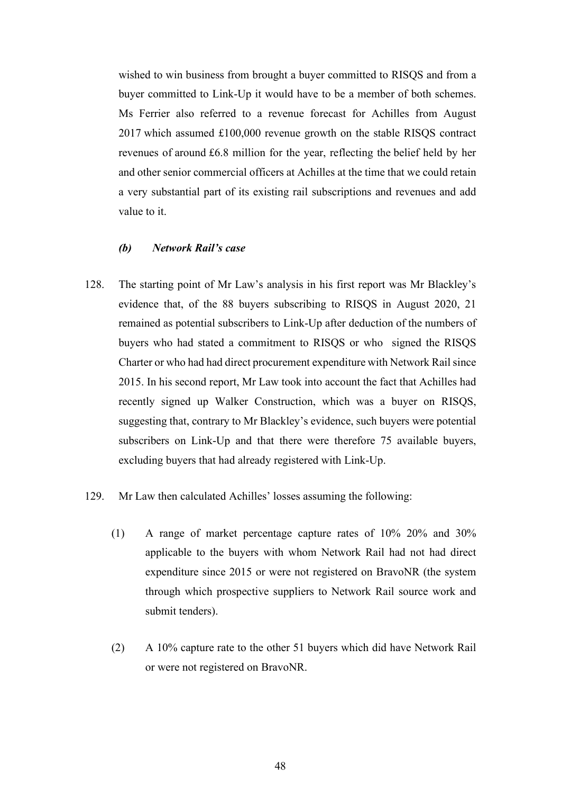wished to win business from brought a buyer committed to RISQS and from a buyer committed to Link-Up it would have to be a member of both schemes. Ms Ferrier also referred to a revenue forecast for Achilles from August 2017 which assumed £100,000 revenue growth on the stable RISQS contract revenues of around £6.8 million for the year, reflecting the belief held by her and other senior commercial officers at Achilles at the time that we could retain a very substantial part of its existing rail subscriptions and revenues and add value to it.

### *(b) Network Rail's case*

- 128. The starting point of Mr Law's analysis in his first report was Mr Blackley's evidence that, of the 88 buyers subscribing to RISQS in August 2020, 21 remained as potential subscribers to Link-Up after deduction of the numbers of buyers who had stated a commitment to RISQS or who signed the RISQS Charter or who had had direct procurement expenditure with Network Rail since 2015. In his second report, Mr Law took into account the fact that Achilles had recently signed up Walker Construction, which was a buyer on RISQS, suggesting that, contrary to Mr Blackley's evidence, such buyers were potential subscribers on Link-Up and that there were therefore 75 available buyers, excluding buyers that had already registered with Link-Up.
- 129. Mr Law then calculated Achilles' losses assuming the following:
	- (1) A range of market percentage capture rates of 10% 20% and 30% applicable to the buyers with whom Network Rail had not had direct expenditure since 2015 or were not registered on BravoNR (the system through which prospective suppliers to Network Rail source work and submit tenders).
	- (2) A 10% capture rate to the other 51 buyers which did have Network Rail or were not registered on BravoNR.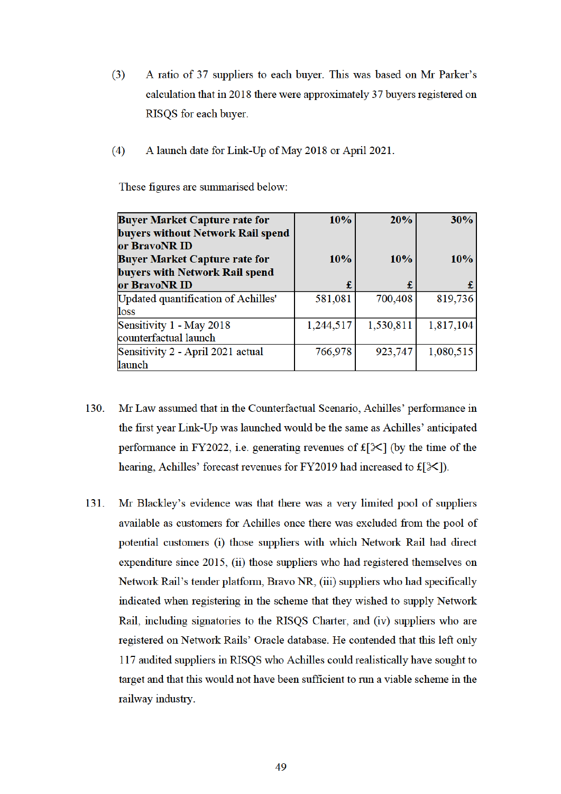- $(3)$ A ratio of 37 suppliers to each buyer. This was based on Mr Parker's calculation that in 2018 there were approximately 37 buyers registered on RISQS for each buyer.
- $(4)$ A launch date for Link-Up of May 2018 or April 2021.

These figures are summarised below:

| <b>Buyer Market Capture rate for</b>               | 10%       | 20%       | 30%       |
|----------------------------------------------------|-----------|-----------|-----------|
| buyers without Network Rail spend<br>or BravoNR ID |           |           |           |
| <b>Buyer Market Capture rate for</b>               | 10%       | 10%       | 10%       |
| buyers with Network Rail spend                     |           |           |           |
| or BravoNR ID                                      | £         | £         |           |
| Updated quantification of Achilles'                | 581,081   | 700,408   | 819,736   |
| loss                                               |           |           |           |
| Sensitivity 1 - May 2018                           | 1,244,517 | 1,530,811 | 1,817,104 |
| counterfactual launch                              |           |           |           |
| Sensitivity 2 - April 2021 actual                  | 766,978   | 923,747   | 1,080,515 |
| launch                                             |           |           |           |

- Mr Law assumed that in the Counterfactual Scenario, Achilles' performance in 130. the first year Link-Up was launched would be the same as Achilles' anticipated performance in FY2022, i.e. generating revenues of  $f[\mathcal{K}]$  (by the time of the hearing, Achilles' forecast revenues for FY2019 had increased to  $f[\mathcal{K}]$ .
- 131. Mr Blackley's evidence was that there was a very limited pool of suppliers available as customers for Achilles once there was excluded from the pool of potential customers (i) those suppliers with which Network Rail had direct expenditure since 2015, (ii) those suppliers who had registered themselves on Network Rail's tender platform, Bravo NR, (iii) suppliers who had specifically indicated when registering in the scheme that they wished to supply Network Rail, including signatories to the RISQS Charter, and (iv) suppliers who are registered on Network Rails' Oracle database. He contended that this left only 117 audited suppliers in RISQS who Achilles could realistically have sought to target and that this would not have been sufficient to run a viable scheme in the railway industry.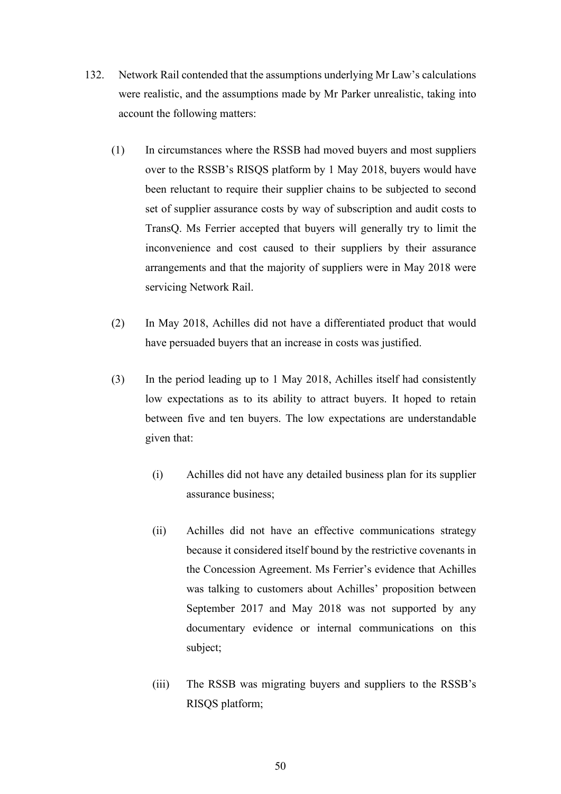- 132. Network Rail contended that the assumptions underlying Mr Law's calculations were realistic, and the assumptions made by Mr Parker unrealistic, taking into account the following matters:
	- (1) In circumstances where the RSSB had moved buyers and most suppliers over to the RSSB's RISQS platform by 1 May 2018, buyers would have been reluctant to require their supplier chains to be subjected to second set of supplier assurance costs by way of subscription and audit costs to TransQ. Ms Ferrier accepted that buyers will generally try to limit the inconvenience and cost caused to their suppliers by their assurance arrangements and that the majority of suppliers were in May 2018 were servicing Network Rail.
	- (2) In May 2018, Achilles did not have a differentiated product that would have persuaded buyers that an increase in costs was justified.
	- (3) In the period leading up to 1 May 2018, Achilles itself had consistently low expectations as to its ability to attract buyers. It hoped to retain between five and ten buyers. The low expectations are understandable given that:
		- (i) Achilles did not have any detailed business plan for its supplier assurance business;
		- (ii) Achilles did not have an effective communications strategy because it considered itself bound by the restrictive covenants in the Concession Agreement. Ms Ferrier's evidence that Achilles was talking to customers about Achilles' proposition between September 2017 and May 2018 was not supported by any documentary evidence or internal communications on this subject;
		- (iii) The RSSB was migrating buyers and suppliers to the RSSB's RISQS platform;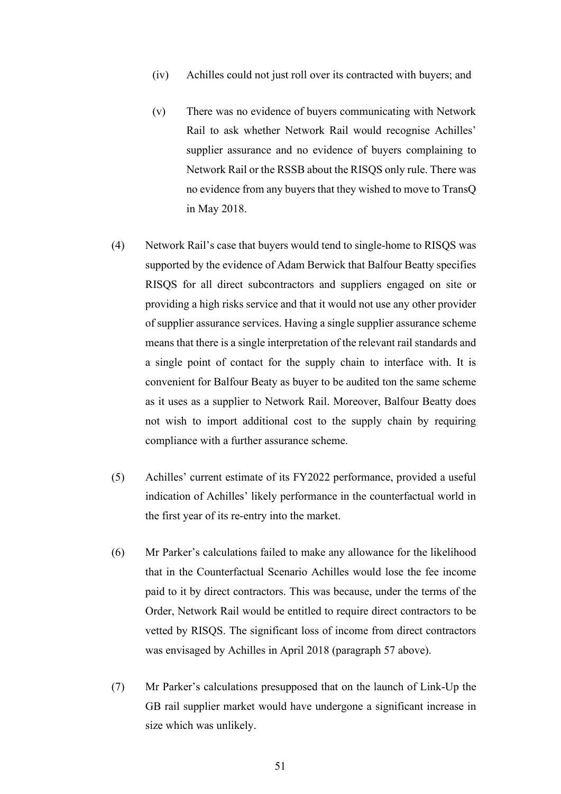- (iv) Achilles could not just roll over its contracted with buyers; and
- (v) There was no evidence of buyers communicating with Network Rail to ask whether Network Rail would recognise Achilles' supplier assurance and no evidence of buyers complaining to Network Rail or the RSSB about the RISQS only rule. There was no evidence from any buyers that they wished to move to TransQ in May 2018.
- (4) Network Rail's case that buyers would tend to single-home to RISQS was supported by the evidence of Adam Berwick that Balfour Beatty specifies RISQS for all direct subcontractors and suppliers engaged on site or providing a high risks service and that it would not use any other provider of supplier assurance services. Having a single supplier assurance scheme means that there is a single interpretation of the relevant rail standards and a single point of contact for the supply chain to interface with. It is convenient for Balfour Beaty as buyer to be audited ton the same scheme as it uses as a supplier to Network Rail. Moreover, Balfour Beatty does not wish to import additional cost to the supply chain by requiring compliance with a further assurance scheme.
- (5) Achilles' current estimate of its FY2022 performance, provided a useful indication of Achilles' likely performance in the counterfactual world in the first year of its re-entry into the market.
- (6) Mr Parker's calculations failed to make any allowance for the likelihood that in the Counterfactual Scenario Achilles would lose the fee income paid to it by direct contractors. This was because, under the terms of the Order, Network Rail would be entitled to require direct contractors to be vetted by RISQS. The significant loss of income from direct contractors was envisaged by Achilles in April 2018 (paragraph 57 above).
- (7) Mr Parker's calculations presupposed that on the launch of Link-Up the GB rail supplier market would have undergone a significant increase in size which was unlikely.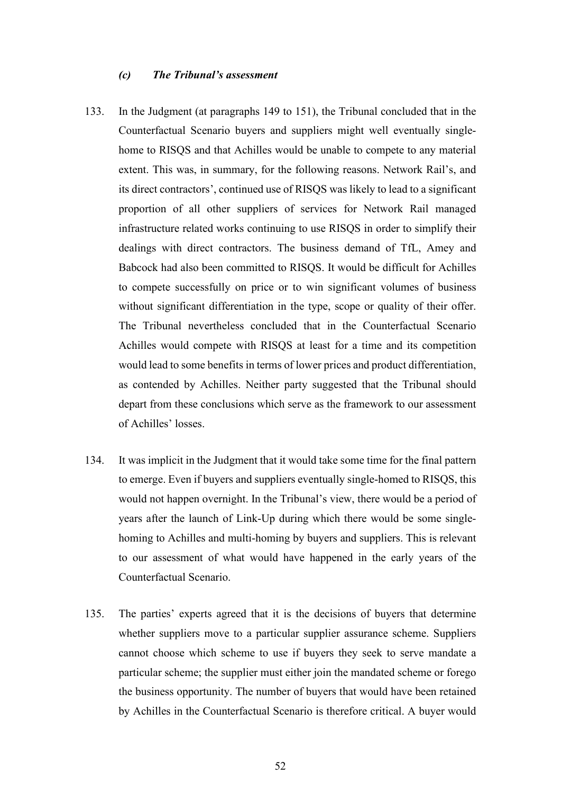#### *(c) The Tribunal's assessment*

- 133. In the Judgment (at paragraphs 149 to 151), the Tribunal concluded that in the Counterfactual Scenario buyers and suppliers might well eventually singlehome to RISQS and that Achilles would be unable to compete to any material extent. This was, in summary, for the following reasons. Network Rail's, and its direct contractors', continued use of RISQS was likely to lead to a significant proportion of all other suppliers of services for Network Rail managed infrastructure related works continuing to use RISQS in order to simplify their dealings with direct contractors. The business demand of TfL, Amey and Babcock had also been committed to RISQS. It would be difficult for Achilles to compete successfully on price or to win significant volumes of business without significant differentiation in the type, scope or quality of their offer. The Tribunal nevertheless concluded that in the Counterfactual Scenario Achilles would compete with RISQS at least for a time and its competition would lead to some benefits in terms of lower prices and product differentiation, as contended by Achilles. Neither party suggested that the Tribunal should depart from these conclusions which serve as the framework to our assessment of Achilles' losses.
- 134. It was implicit in the Judgment that it would take some time for the final pattern to emerge. Even if buyers and suppliers eventually single-homed to RISQS, this would not happen overnight. In the Tribunal's view, there would be a period of years after the launch of Link-Up during which there would be some singlehoming to Achilles and multi-homing by buyers and suppliers. This is relevant to our assessment of what would have happened in the early years of the Counterfactual Scenario.
- 135. The parties' experts agreed that it is the decisions of buyers that determine whether suppliers move to a particular supplier assurance scheme. Suppliers cannot choose which scheme to use if buyers they seek to serve mandate a particular scheme; the supplier must either join the mandated scheme or forego the business opportunity. The number of buyers that would have been retained by Achilles in the Counterfactual Scenario is therefore critical. A buyer would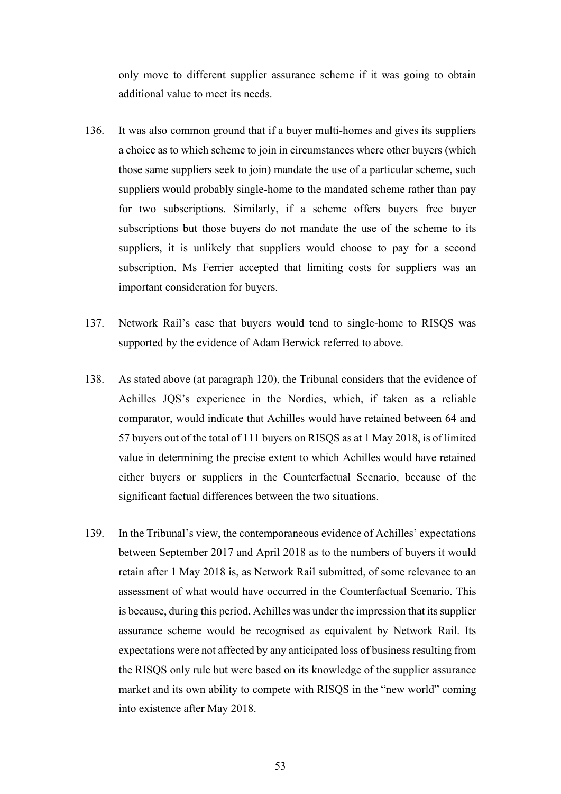only move to different supplier assurance scheme if it was going to obtain additional value to meet its needs.

- 136. It was also common ground that if a buyer multi-homes and gives its suppliers a choice as to which scheme to join in circumstances where other buyers (which those same suppliers seek to join) mandate the use of a particular scheme, such suppliers would probably single-home to the mandated scheme rather than pay for two subscriptions. Similarly, if a scheme offers buyers free buyer subscriptions but those buyers do not mandate the use of the scheme to its suppliers, it is unlikely that suppliers would choose to pay for a second subscription. Ms Ferrier accepted that limiting costs for suppliers was an important consideration for buyers.
- 137. Network Rail's case that buyers would tend to single-home to RISQS was supported by the evidence of Adam Berwick referred to above.
- 138. As stated above (at paragraph 120), the Tribunal considers that the evidence of Achilles JQS's experience in the Nordics, which, if taken as a reliable comparator, would indicate that Achilles would have retained between 64 and 57 buyers out of the total of 111 buyers on RISQS as at 1 May 2018, is of limited value in determining the precise extent to which Achilles would have retained either buyers or suppliers in the Counterfactual Scenario, because of the significant factual differences between the two situations.
- 139. In the Tribunal's view, the contemporaneous evidence of Achilles' expectations between September 2017 and April 2018 as to the numbers of buyers it would retain after 1 May 2018 is, as Network Rail submitted, of some relevance to an assessment of what would have occurred in the Counterfactual Scenario. This is because, during this period, Achilles was under the impression that its supplier assurance scheme would be recognised as equivalent by Network Rail. Its expectations were not affected by any anticipated loss of business resulting from the RISQS only rule but were based on its knowledge of the supplier assurance market and its own ability to compete with RISQS in the "new world" coming into existence after May 2018.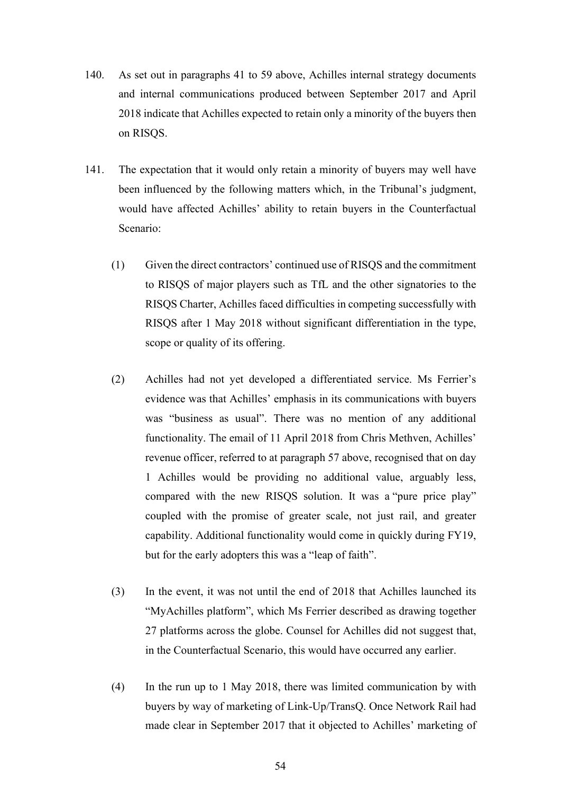- 140. As set out in paragraphs 41 to 59 above, Achilles internal strategy documents and internal communications produced between September 2017 and April 2018 indicate that Achilles expected to retain only a minority of the buyers then on RISQS.
- 141. The expectation that it would only retain a minority of buyers may well have been influenced by the following matters which, in the Tribunal's judgment, would have affected Achilles' ability to retain buyers in the Counterfactual Scenario:
	- (1) Given the direct contractors' continued use of RISQS and the commitment to RISQS of major players such as TfL and the other signatories to the RISQS Charter, Achilles faced difficulties in competing successfully with RISQS after 1 May 2018 without significant differentiation in the type, scope or quality of its offering.
	- (2) Achilles had not yet developed a differentiated service. Ms Ferrier's evidence was that Achilles' emphasis in its communications with buyers was "business as usual". There was no mention of any additional functionality. The email of 11 April 2018 from Chris Methven, Achilles' revenue officer, referred to at paragraph 57 above, recognised that on day 1 Achilles would be providing no additional value, arguably less, compared with the new RISQS solution. It was a "pure price play" coupled with the promise of greater scale, not just rail, and greater capability. Additional functionality would come in quickly during FY19, but for the early adopters this was a "leap of faith".
	- (3) In the event, it was not until the end of 2018 that Achilles launched its "MyAchilles platform", which Ms Ferrier described as drawing together 27 platforms across the globe. Counsel for Achilles did not suggest that, in the Counterfactual Scenario, this would have occurred any earlier.
	- (4) In the run up to 1 May 2018, there was limited communication by with buyers by way of marketing of Link-Up/TransQ. Once Network Rail had made clear in September 2017 that it objected to Achilles' marketing of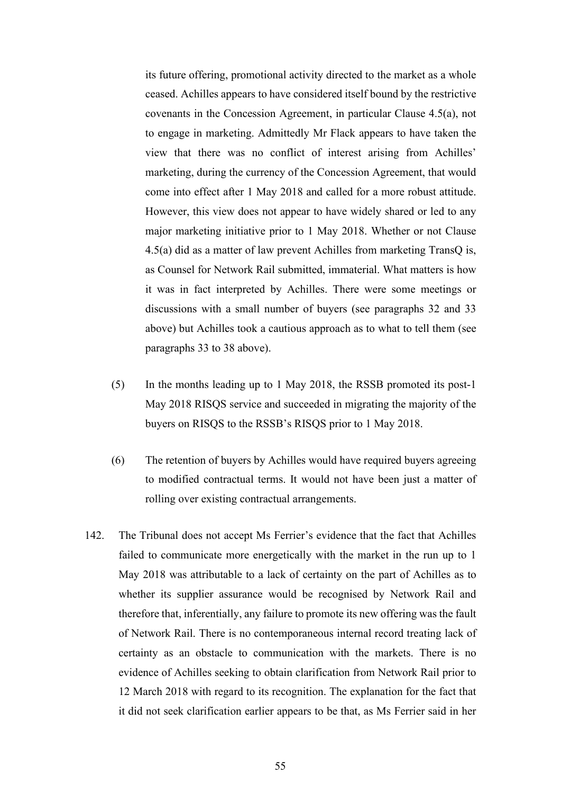its future offering, promotional activity directed to the market as a whole ceased. Achilles appears to have considered itself bound by the restrictive covenants in the Concession Agreement, in particular Clause 4.5(a), not to engage in marketing. Admittedly Mr Flack appears to have taken the view that there was no conflict of interest arising from Achilles' marketing, during the currency of the Concession Agreement, that would come into effect after 1 May 2018 and called for a more robust attitude. However, this view does not appear to have widely shared or led to any major marketing initiative prior to 1 May 2018. Whether or not Clause 4.5(a) did as a matter of law prevent Achilles from marketing TransQ is, as Counsel for Network Rail submitted, immaterial. What matters is how it was in fact interpreted by Achilles. There were some meetings or discussions with a small number of buyers (see paragraphs 32 and 33 above) but Achilles took a cautious approach as to what to tell them (see paragraphs 33 to 38 above).

- (5) In the months leading up to 1 May 2018, the RSSB promoted its post-1 May 2018 RISQS service and succeeded in migrating the majority of the buyers on RISQS to the RSSB's RISQS prior to 1 May 2018.
- (6) The retention of buyers by Achilles would have required buyers agreeing to modified contractual terms. It would not have been just a matter of rolling over existing contractual arrangements.
- 142. The Tribunal does not accept Ms Ferrier's evidence that the fact that Achilles failed to communicate more energetically with the market in the run up to 1 May 2018 was attributable to a lack of certainty on the part of Achilles as to whether its supplier assurance would be recognised by Network Rail and therefore that, inferentially, any failure to promote its new offering was the fault of Network Rail. There is no contemporaneous internal record treating lack of certainty as an obstacle to communication with the markets. There is no evidence of Achilles seeking to obtain clarification from Network Rail prior to 12 March 2018 with regard to its recognition. The explanation for the fact that it did not seek clarification earlier appears to be that, as Ms Ferrier said in her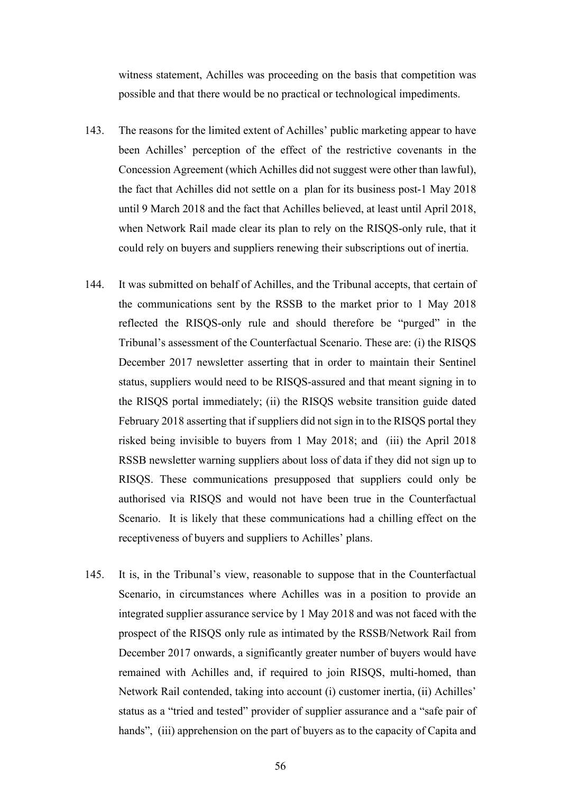witness statement, Achilles was proceeding on the basis that competition was possible and that there would be no practical or technological impediments.

- 143. The reasons for the limited extent of Achilles' public marketing appear to have been Achilles' perception of the effect of the restrictive covenants in the Concession Agreement (which Achilles did not suggest were other than lawful), the fact that Achilles did not settle on a plan for its business post-1 May 2018 until 9 March 2018 and the fact that Achilles believed, at least until April 2018, when Network Rail made clear its plan to rely on the RISQS-only rule, that it could rely on buyers and suppliers renewing their subscriptions out of inertia.
- 144. It was submitted on behalf of Achilles, and the Tribunal accepts, that certain of the communications sent by the RSSB to the market prior to 1 May 2018 reflected the RISQS-only rule and should therefore be "purged" in the Tribunal's assessment of the Counterfactual Scenario. These are: (i) the RISQS December 2017 newsletter asserting that in order to maintain their Sentinel status, suppliers would need to be RISQS-assured and that meant signing in to the RISQS portal immediately; (ii) the RISQS website transition guide dated February 2018 asserting that if suppliers did not sign in to the RISQS portal they risked being invisible to buyers from 1 May 2018; and (iii) the April 2018 RSSB newsletter warning suppliers about loss of data if they did not sign up to RISQS. These communications presupposed that suppliers could only be authorised via RISQS and would not have been true in the Counterfactual Scenario. It is likely that these communications had a chilling effect on the receptiveness of buyers and suppliers to Achilles' plans.
- 145. It is, in the Tribunal's view, reasonable to suppose that in the Counterfactual Scenario, in circumstances where Achilles was in a position to provide an integrated supplier assurance service by 1 May 2018 and was not faced with the prospect of the RISQS only rule as intimated by the RSSB/Network Rail from December 2017 onwards, a significantly greater number of buyers would have remained with Achilles and, if required to join RISQS, multi-homed, than Network Rail contended, taking into account (i) customer inertia, (ii) Achilles' status as a "tried and tested" provider of supplier assurance and a "safe pair of hands", (iii) apprehension on the part of buyers as to the capacity of Capita and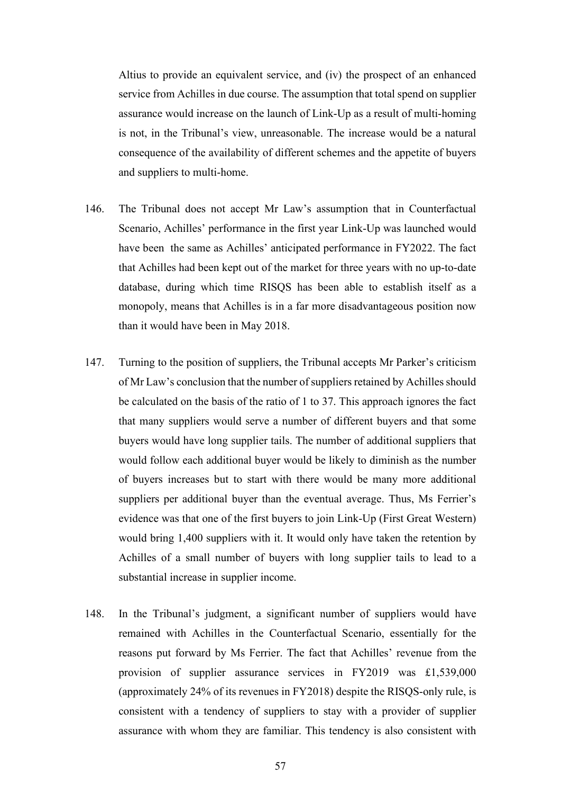Altius to provide an equivalent service, and (iv) the prospect of an enhanced service from Achilles in due course. The assumption that total spend on supplier assurance would increase on the launch of Link-Up as a result of multi-homing is not, in the Tribunal's view, unreasonable. The increase would be a natural consequence of the availability of different schemes and the appetite of buyers and suppliers to multi-home.

- 146. The Tribunal does not accept Mr Law's assumption that in Counterfactual Scenario, Achilles' performance in the first year Link-Up was launched would have been the same as Achilles' anticipated performance in FY2022. The fact that Achilles had been kept out of the market for three years with no up-to-date database, during which time RISQS has been able to establish itself as a monopoly, means that Achilles is in a far more disadvantageous position now than it would have been in May 2018.
- 147. Turning to the position of suppliers, the Tribunal accepts Mr Parker's criticism of Mr Law's conclusion that the number of suppliers retained by Achilles should be calculated on the basis of the ratio of 1 to 37. This approach ignores the fact that many suppliers would serve a number of different buyers and that some buyers would have long supplier tails. The number of additional suppliers that would follow each additional buyer would be likely to diminish as the number of buyers increases but to start with there would be many more additional suppliers per additional buyer than the eventual average. Thus, Ms Ferrier's evidence was that one of the first buyers to join Link-Up (First Great Western) would bring 1,400 suppliers with it. It would only have taken the retention by Achilles of a small number of buyers with long supplier tails to lead to a substantial increase in supplier income.
- 148. In the Tribunal's judgment, a significant number of suppliers would have remained with Achilles in the Counterfactual Scenario, essentially for the reasons put forward by Ms Ferrier. The fact that Achilles' revenue from the provision of supplier assurance services in FY2019 was £1,539,000 (approximately 24% of its revenues in FY2018) despite the RISQS-only rule, is consistent with a tendency of suppliers to stay with a provider of supplier assurance with whom they are familiar. This tendency is also consistent with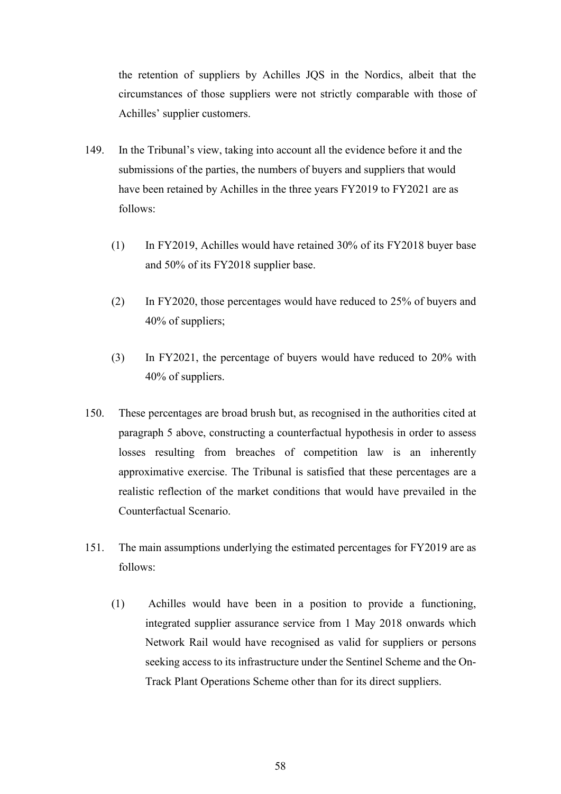the retention of suppliers by Achilles JQS in the Nordics, albeit that the circumstances of those suppliers were not strictly comparable with those of Achilles' supplier customers.

- 149. In the Tribunal's view, taking into account all the evidence before it and the submissions of the parties, the numbers of buyers and suppliers that would have been retained by Achilles in the three years FY2019 to FY2021 are as follows:
	- (1) In FY2019, Achilles would have retained 30% of its FY2018 buyer base and 50% of its FY2018 supplier base.
	- (2) In FY2020, those percentages would have reduced to 25% of buyers and 40% of suppliers;
	- (3) In FY2021, the percentage of buyers would have reduced to 20% with 40% of suppliers.
- 150. These percentages are broad brush but, as recognised in the authorities cited at paragraph 5 above, constructing a counterfactual hypothesis in order to assess losses resulting from breaches of competition law is an inherently approximative exercise. The Tribunal is satisfied that these percentages are a realistic reflection of the market conditions that would have prevailed in the Counterfactual Scenario.
- 151. The main assumptions underlying the estimated percentages for FY2019 are as follows:
	- (1) Achilles would have been in a position to provide a functioning, integrated supplier assurance service from 1 May 2018 onwards which Network Rail would have recognised as valid for suppliers or persons seeking access to its infrastructure under the Sentinel Scheme and the On-Track Plant Operations Scheme other than for its direct suppliers.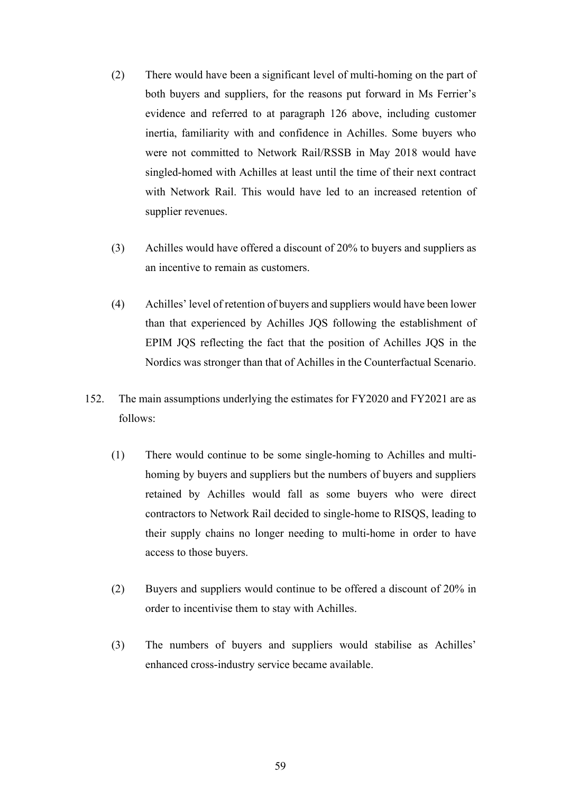- (2) There would have been a significant level of multi-homing on the part of both buyers and suppliers, for the reasons put forward in Ms Ferrier's evidence and referred to at paragraph 126 above, including customer inertia, familiarity with and confidence in Achilles. Some buyers who were not committed to Network Rail/RSSB in May 2018 would have singled-homed with Achilles at least until the time of their next contract with Network Rail. This would have led to an increased retention of supplier revenues.
- (3) Achilles would have offered a discount of 20% to buyers and suppliers as an incentive to remain as customers.
- (4) Achilles' level of retention of buyers and suppliers would have been lower than that experienced by Achilles JQS following the establishment of EPIM JQS reflecting the fact that the position of Achilles JQS in the Nordics was stronger than that of Achilles in the Counterfactual Scenario.
- 152. The main assumptions underlying the estimates for FY2020 and FY2021 are as follows:
	- (1) There would continue to be some single-homing to Achilles and multihoming by buyers and suppliers but the numbers of buyers and suppliers retained by Achilles would fall as some buyers who were direct contractors to Network Rail decided to single-home to RISQS, leading to their supply chains no longer needing to multi-home in order to have access to those buyers.
	- (2) Buyers and suppliers would continue to be offered a discount of 20% in order to incentivise them to stay with Achilles.
	- (3) The numbers of buyers and suppliers would stabilise as Achilles' enhanced cross-industry service became available.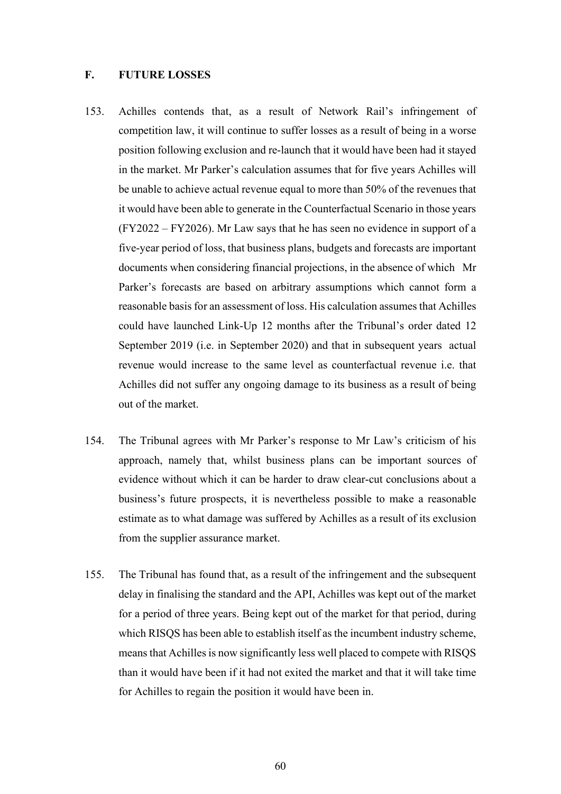# **F. FUTURE LOSSES**

- 153. Achilles contends that, as a result of Network Rail's infringement of competition law, it will continue to suffer losses as a result of being in a worse position following exclusion and re-launch that it would have been had it stayed in the market. Mr Parker's calculation assumes that for five years Achilles will be unable to achieve actual revenue equal to more than 50% of the revenues that it would have been able to generate in the Counterfactual Scenario in those years (FY2022 – FY2026). Mr Law says that he has seen no evidence in support of a five-year period of loss, that business plans, budgets and forecasts are important documents when considering financial projections, in the absence of which Mr Parker's forecasts are based on arbitrary assumptions which cannot form a reasonable basis for an assessment of loss. His calculation assumes that Achilles could have launched Link-Up 12 months after the Tribunal's order dated 12 September 2019 (i.e. in September 2020) and that in subsequent years actual revenue would increase to the same level as counterfactual revenue i.e. that Achilles did not suffer any ongoing damage to its business as a result of being out of the market.
- 154. The Tribunal agrees with Mr Parker's response to Mr Law's criticism of his approach, namely that, whilst business plans can be important sources of evidence without which it can be harder to draw clear-cut conclusions about a business's future prospects, it is nevertheless possible to make a reasonable estimate as to what damage was suffered by Achilles as a result of its exclusion from the supplier assurance market.
- 155. The Tribunal has found that, as a result of the infringement and the subsequent delay in finalising the standard and the API, Achilles was kept out of the market for a period of three years. Being kept out of the market for that period, during which RISQS has been able to establish itself as the incumbent industry scheme, means that Achilles is now significantly less well placed to compete with RISQS than it would have been if it had not exited the market and that it will take time for Achilles to regain the position it would have been in.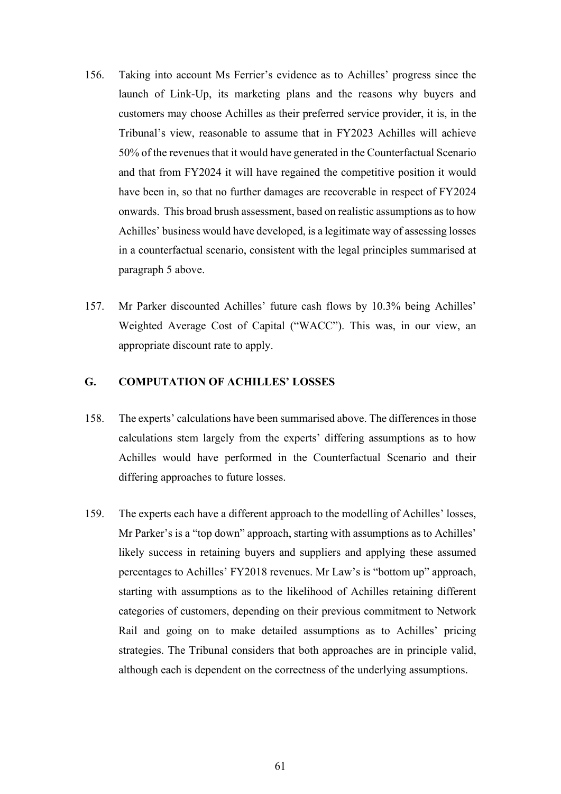- 156. Taking into account Ms Ferrier's evidence as to Achilles' progress since the launch of Link-Up, its marketing plans and the reasons why buyers and customers may choose Achilles as their preferred service provider, it is, in the Tribunal's view, reasonable to assume that in FY2023 Achilles will achieve 50% of the revenues that it would have generated in the Counterfactual Scenario and that from FY2024 it will have regained the competitive position it would have been in, so that no further damages are recoverable in respect of FY2024 onwards. This broad brush assessment, based on realistic assumptions as to how Achilles' business would have developed, is a legitimate way of assessing losses in a counterfactual scenario, consistent with the legal principles summarised at paragraph 5 above.
- 157. Mr Parker discounted Achilles' future cash flows by 10.3% being Achilles' Weighted Average Cost of Capital ("WACC"). This was, in our view, an appropriate discount rate to apply.

# **G. COMPUTATION OF ACHILLES' LOSSES**

- 158. The experts' calculations have been summarised above. The differences in those calculations stem largely from the experts' differing assumptions as to how Achilles would have performed in the Counterfactual Scenario and their differing approaches to future losses.
- 159. The experts each have a different approach to the modelling of Achilles' losses, Mr Parker's is a "top down" approach, starting with assumptions as to Achilles' likely success in retaining buyers and suppliers and applying these assumed percentages to Achilles' FY2018 revenues. Mr Law's is "bottom up" approach, starting with assumptions as to the likelihood of Achilles retaining different categories of customers, depending on their previous commitment to Network Rail and going on to make detailed assumptions as to Achilles' pricing strategies. The Tribunal considers that both approaches are in principle valid, although each is dependent on the correctness of the underlying assumptions.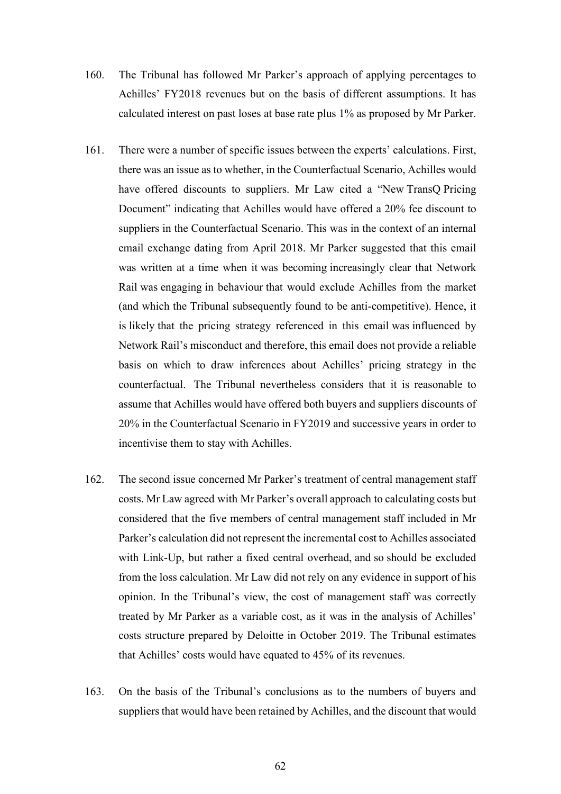- 160. The Tribunal has followed Mr Parker's approach of applying percentages to Achilles' FY2018 revenues but on the basis of different assumptions. It has calculated interest on past loses at base rate plus 1% as proposed by Mr Parker.
- 161. There were a number of specific issues between the experts' calculations. First, there was an issue as to whether, in the Counterfactual Scenario, Achilles would have offered discounts to suppliers. Mr Law cited a "New TransQ Pricing Document" indicating that Achilles would have offered a 20% fee discount to suppliers in the Counterfactual Scenario. This was in the context of an internal email exchange dating from April 2018. Mr Parker suggested that this email was written at a time when it was becoming increasingly clear that Network Rail was engaging in behaviour that would exclude Achilles from the market (and which the Tribunal subsequently found to be anti-competitive). Hence, it is likely that the pricing strategy referenced in this email was influenced by Network Rail's misconduct and therefore, this email does not provide a reliable basis on which to draw inferences about Achilles' pricing strategy in the counterfactual. The Tribunal nevertheless considers that it is reasonable to assume that Achilles would have offered both buyers and suppliers discounts of 20% in the Counterfactual Scenario in FY2019 and successive years in order to incentivise them to stay with Achilles.
- 162. The second issue concerned Mr Parker's treatment of central management staff costs. Mr Law agreed with Mr Parker's overall approach to calculating costs but considered that the five members of central management staff included in Mr Parker's calculation did not represent the incremental cost to Achilles associated with Link-Up, but rather a fixed central overhead, and so should be excluded from the loss calculation. Mr Law did not rely on any evidence in support of his opinion. In the Tribunal's view, the cost of management staff was correctly treated by Mr Parker as a variable cost, as it was in the analysis of Achilles' costs structure prepared by Deloitte in October 2019. The Tribunal estimates that Achilles' costs would have equated to 45% of its revenues.
- 163. On the basis of the Tribunal's conclusions as to the numbers of buyers and suppliers that would have been retained by Achilles, and the discount that would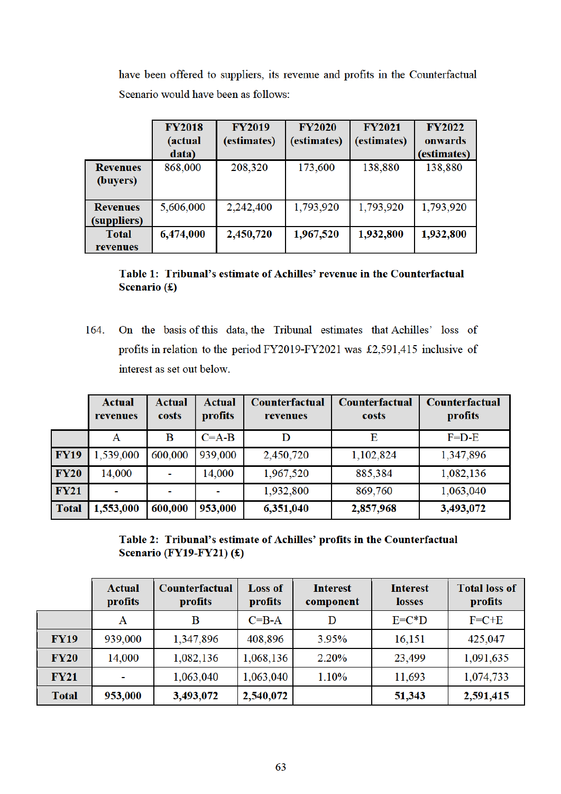have been offered to suppliers, its revenue and profits in the Counterfactual Scenario would have been as follows:

|                                | <b>FY2018</b><br>(actual<br>data) | <b>FY2019</b><br>(estimates) | <b>FY2020</b><br>(estimates) | <b>FY2021</b><br>(estimates) | <b>FY2022</b><br>onwards<br>(estimates) |
|--------------------------------|-----------------------------------|------------------------------|------------------------------|------------------------------|-----------------------------------------|
| <b>Revenues</b><br>(buyers)    | 868,000                           | 208,320                      | 173,600                      | 138,880                      | 138,880                                 |
| <b>Revenues</b><br>(suppliers) | 5,606,000                         | 2,242,400                    | 1,793,920                    | 1,793,920                    | 1,793,920                               |
| <b>Total</b><br>revenues       | 6,474,000                         | 2,450,720                    | 1,967,520                    | 1,932,800                    | 1,932,800                               |

Table 1: Tribunal's estimate of Achilles' revenue in the Counterfactual Scenario  $(f)$ 

164. On the basis of this data, the Tribunal estimates that Achilles' loss of profits in relation to the period FY2019-FY2021 was £2,591,415 inclusive of interest as set out below.

|              | <b>Actual</b><br>revenues | <b>Actual</b><br>costs | <b>Actual</b><br>profits | Counterfactual<br>revenues | Counterfactual<br>costs | Counterfactual<br>profits |
|--------------|---------------------------|------------------------|--------------------------|----------------------------|-------------------------|---------------------------|
|              | Α                         | B                      | $C = A - B$              | D                          | Е                       | $F=D-E$                   |
| <b>FY19</b>  | 1,539,000                 | 600,000                | 939,000                  | 2,450,720                  | 1,102,824               | 1,347,896                 |
| <b>FY20</b>  | 14,000                    |                        | 14,000                   | 1,967,520                  | 885,384                 | 1,082,136                 |
| <b>FY21</b>  | ۰                         |                        |                          | 1,932,800                  | 869,760                 | 1,063,040                 |
| <b>Total</b> | 1,553,000                 | 600,000                | 953,000                  | 6,351,040                  | 2,857,968               | 3,493,072                 |

Table 2: Tribunal's estimate of Achilles' profits in the Counterfactual Scenario (FY19-FY21) $(f)$ 

|              | Actual<br>profits        | Counterfactual<br>profits | <b>Loss of</b><br>profits | Interest<br>component | <b>Interest</b><br><b>losses</b> | <b>Total loss of</b><br>profits |
|--------------|--------------------------|---------------------------|---------------------------|-----------------------|----------------------------------|---------------------------------|
|              | A                        | B                         | $C = B - A$               | D                     | $E=C*D$                          | $F=C+E$                         |
| <b>FY19</b>  | 939,000                  | 1,347,896                 | 408,896                   | 3.95%                 | 16,151                           | 425,047                         |
| <b>FY20</b>  | 14,000                   | 1,082,136                 | 1,068,136                 | 2.20%                 | 23,499                           | 1,091,635                       |
| <b>FY21</b>  | $\overline{\phantom{a}}$ | 1,063,040                 | 1,063,040                 | 1.10%                 | 11,693                           | 1,074,733                       |
| <b>Total</b> | 953,000                  | 3,493,072                 | 2,540,072                 |                       | 51,343                           | 2,591,415                       |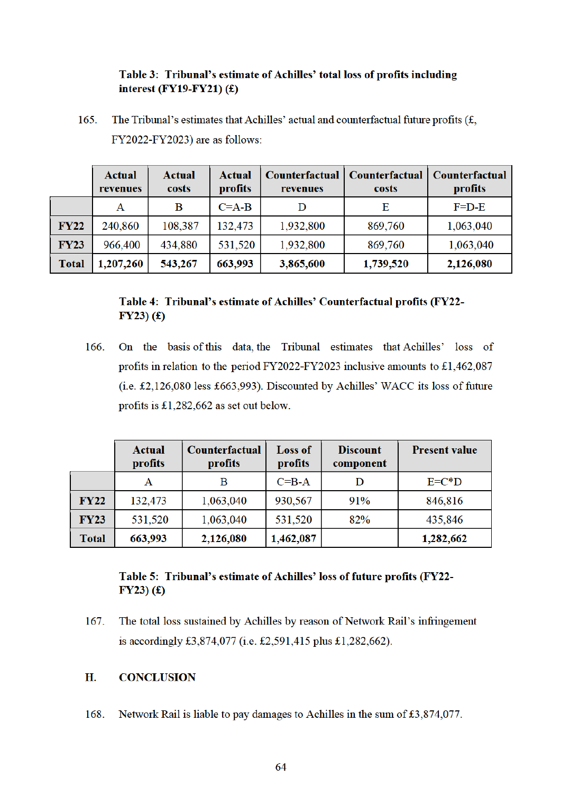# Table 3: Tribunal's estimate of Achilles' total loss of profits including interest (FY19-FY21) $(f)$

The Tribunal's estimates that Achilles' actual and counterfactual future profits  $(f, f)$ . 165. FY2022-FY2023) are as follows:

|              | Actual<br>revenues | Actual<br>costs | Actual<br>profits | Counterfactual<br>revenues | Counterfactual<br>costs | Counterfactual<br>profits |
|--------------|--------------------|-----------------|-------------------|----------------------------|-------------------------|---------------------------|
|              | А                  | B               | $C = A - B$       |                            | E                       | $F=D-E$                   |
| <b>FY22</b>  | 240,860            | 108,387         | 132,473           | 1,932,800                  | 869,760                 | 1,063,040                 |
| <b>FY23</b>  | 966,400            | 434,880         | 531,520           | 1,932,800                  | 869,760                 | 1,063,040                 |
| <b>Total</b> | 1,207,260          | 543,267         | 663,993           | 3,865,600                  | 1,739,520               | 2,126,080                 |

# Table 4: Tribunal's estimate of Achilles' Counterfactual profits (FY22- $FY23)$  (£)

166. On the basis of this data the Tribunal estimates that Achilles' loss of profits in relation to the period FY2022-FY2023 inclusive amounts to £1,462,087 (i.e. £2,126,080 less £663,993). Discounted by Achilles' WACC its loss of future profits is £1,282,662 as set out below.

|              | <b>Actual</b><br>profits | Counterfactual<br>profits | <b>Loss of</b><br>profits | <b>Discount</b><br>component | <b>Present value</b> |
|--------------|--------------------------|---------------------------|---------------------------|------------------------------|----------------------|
|              | Α                        | в                         | $C = B - A$               |                              | $E=C*D$              |
| <b>FY22</b>  | 132,473                  | 1,063,040                 | 930,567                   | 91%                          | 846,816              |
| <b>FY23</b>  | 531,520                  | 1,063,040                 | 531,520                   | 82%                          | 435,846              |
| <b>Total</b> | 663,993                  | 2,126,080                 | 1,462,087                 |                              | 1,282,662            |

# Table 5: Tribunal's estimate of Achilles' loss of future profits (FY22- $FY23)$  (£)

The total loss sustained by Achilles by reason of Network Rail's infringement 167. is accordingly £3,874,077 (i.e. £2,591,415 plus £1,282,662).

#### H. **CONCLUSION**

168. Network Rail is liable to pay damages to Achilles in the sum of £3,874,077.